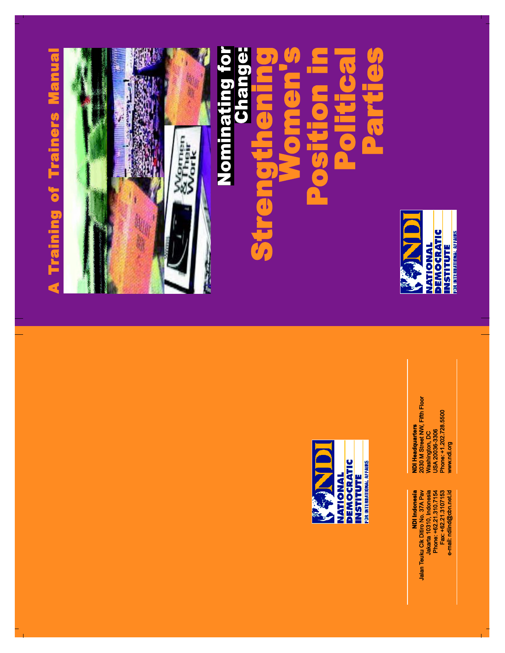



Washington, DC<br>''a annon USA 20036-3306

**DEMOCRATIC** INSTITUTE<br>FOR INTERNATIONAL AFFAIRS

**NATIONAL** 

J.

للفظة 10310, Indonesia<br>Phone: +62.21.310.7154<br>Fax: +62.21.310.7153<br>e-mail: ndiind@cbn.net.id **NDI** Indonesia NDI Indonesia Jakarta 10310, Indonesia Phone: +62.21.310.7154 Fax: +62.21.3107153

**NDI Headquarters<br>2030 M Street NW, Fifth Floor** 2030 M Street NW, Fifth Floor Phone: +1.202.728.5500 www.ndi.org

Jalan Teuku Cik Ditiro No. 37A Pav Jalan Teuku Cik Ditiro No. 37A Pav

Washington, DC<br>USA 20036-3306<br>Phone: +1.202.728.5500 **NDI Headquarters** 

**e-mail: ndiind@cbn.net.id**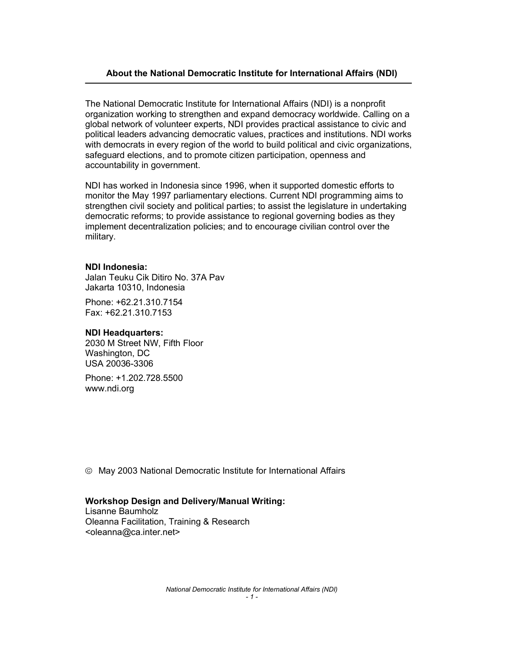# About the National Democratic Institute for International Affairs (NDI)

The National Democratic Institute for International Affairs (NDI) is a nonprofit organization working to strengthen and expand democracy worldwide. Calling on a global network of volunteer experts, NDI provides practical assistance to civic and political leaders advancing democratic values, practices and institutions. NDI works with democrats in every region of the world to build political and civic organizations, safeguard elections, and to promote citizen participation, openness and accountability in government.

NDI has worked in Indonesia since 1996, when it supported domestic efforts to monitor the May 1997 parliamentary elections. Current NDI programming aims to strengthen civil society and political parties; to assist the legislature in undertaking democratic reforms; to provide assistance to regional governing bodies as they implement decentralization policies; and to encourage civilian control over the military.

### NDI Indonesia:

Jalan Teuku Cik Ditiro No. 37A Pav Jakarta 10310, Indonesia

Phone: +62.21.310.7154 Fax: +62.21.310.7153

### NDI Headquarters:

2030 M Street NW, Fifth Floor Washington, DC USA 20036-3306

Phone: +1.202.728.5500 www.ndi.org

May 2003 National Democratic Institute for International Affairs

### Workshop Design and Delivery/Manual Writing:

Lisanne Baumholz Oleanna Facilitation, Training & Research <oleanna@ca.inter.net>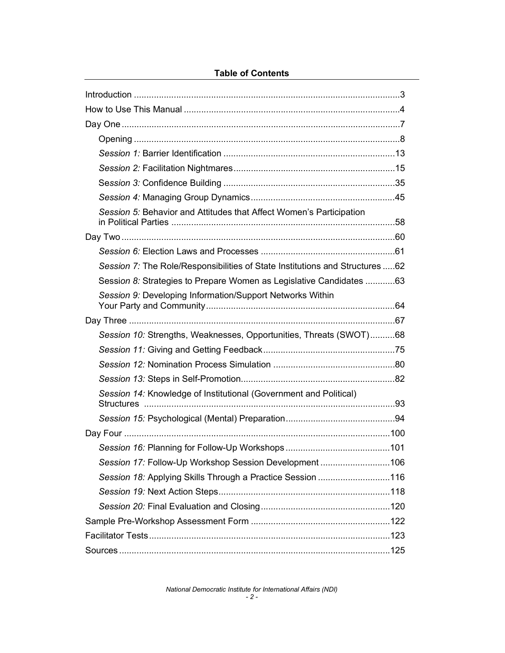# Table of Contents

| Session 5: Behavior and Attitudes that Affect Women's Participation           |  |
|-------------------------------------------------------------------------------|--|
|                                                                               |  |
|                                                                               |  |
| Session 7: The Role/Responsibilities of State Institutions and Structures  62 |  |
| Session 8: Strategies to Prepare Women as Legislative Candidates 63           |  |
| Session 9: Developing Information/Support Networks Within                     |  |
|                                                                               |  |
| Session 10: Strengths, Weaknesses, Opportunities, Threats (SWOT)68            |  |
|                                                                               |  |
|                                                                               |  |
|                                                                               |  |
| Session 14: Knowledge of Institutional (Government and Political)             |  |
|                                                                               |  |
|                                                                               |  |
|                                                                               |  |
| Session 17: Follow-Up Workshop Session Development106                         |  |
| Session 18: Applying Skills Through a Practice Session 116                    |  |
|                                                                               |  |
|                                                                               |  |
|                                                                               |  |
|                                                                               |  |
|                                                                               |  |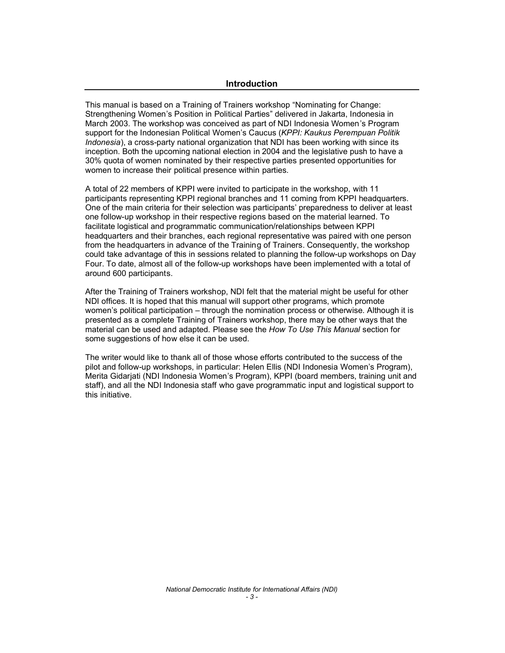#### **Introduction**

This manual is based on a Training of Trainers workshop "Nominating for Change: Strengthening Women's Position in Political Parties" delivered in Jakarta, Indonesia in March 2003. The workshop was conceived as part of NDI Indonesia Women's Program support for the Indonesian Political Women's Caucus (*KPPI: Kaukus Perempuan Politik Indonesia*), a cross-party national organization that NDI has been working with since its inception. Both the upcoming national election in 2004 and the legislative push to have a 30% quota of women nominated by their respective parties presented opportunities for women to increase their political presence within parties.

A total of 22 members of KPPI were invited to participate in the workshop, with 11 participants representing KPPI regional branches and 11 coming from KPPI headquarters. One of the main criteria for their selection was participants' preparedness to deliver at least one follow-up workshop in their respective regions based on the material learned. To facilitate logistical and programmatic communication/relationships between KPPI headquarters and their branches, each regional representative was paired with one person from the headquarters in advance of the Training of Trainers. Consequently, the workshop could take advantage of this in sessions related to planning the follow-up workshops on Day Four. To date, almost all of the follow-up workshops have been implemented with a total of around 600 participants.

After the Training of Trainers workshop, NDI felt that the material might be useful for other NDI offices. It is hoped that this manual will support other programs, which promote women's political participation – through the nomination process or otherwise. Although it is presented as a complete Training of Trainers workshop, there may be other ways that the material can be used and adapted. Please see the *How To Use This Manual* section for some suggestions of how else it can be used.

The writer would like to thank all of those whose efforts contributed to the success of the pilot and follow-up workshops, in particular: Helen Ellis (NDI Indonesia Women's Program), Merita Gidarjati (NDI Indonesia Women's Program), KPPI (board members, training unit and staff), and all the NDI Indonesia staff who gave programmatic input and logistical support to this initiative.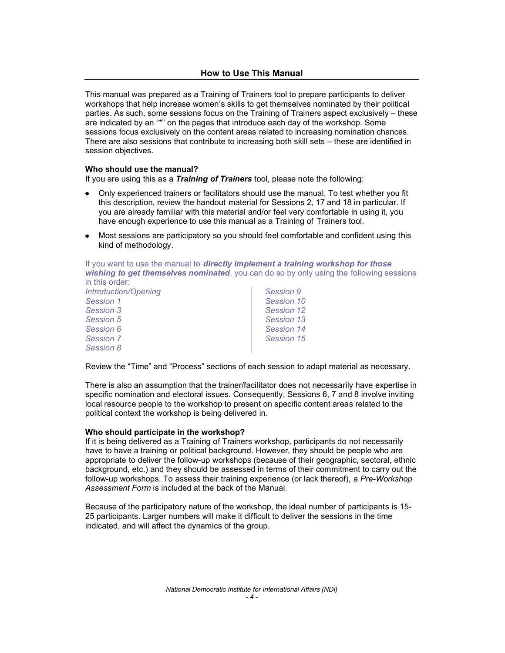### How to Use This Manual

This manual was prepared as a Training of Trainers tool to prepare participants to deliver workshops that help increase women's skills to get themselves nominated by their political parties. As such, some sessions focus on the Training of Trainers aspect exclusively – these are indicated by an "\*" on the pages that introduce each day of the workshop. Some sessions focus exclusively on the content areas related to increasing nomination chances. There are also sessions that contribute to increasing both skill sets – these are identified in session objectives.

#### Who should use the manual?

If you are using this as a *Training of Trainers* tool, please note the following:

- Only experienced trainers or facilitators should use the manual. To test whether you fit this description, review the handout material for Sessions 2, 17 and 18 in particular. If you are already familiar with this material and/or feel very comfortable in using it, you have enough experience to use this manual as a Training of Trainers tool.
- Most sessions are participatory so you should feel comfortable and confident using this kind of methodology.

If you want to use the manual to *directly implement a training workshop for those wishing to get themselves nominated*, you can do so by only using the following sessions in this order:

| <b>Introduction/Opening</b> | Session 9  |
|-----------------------------|------------|
| Session 1                   | Session 10 |
| Session 3                   | Session 12 |
| Session 5                   | Session 13 |
| Session 6                   | Session 14 |
| <b>Session 7</b>            | Session 15 |
| Session 8                   |            |

Review the "Time" and "Process" sections of each session to adapt material as necessary.

There is also an assumption that the trainer/facilitator does not necessarily have expertise in specific nomination and electoral issues. Consequently, Sessions 6, 7 and 8 involve inviting local resource people to the workshop to present on specific content areas related to the political context the workshop is being delivered in.

#### Who should participate in the workshop?

If it is being delivered as a Training of Trainers workshop, participants do not necessarily have to have a training or political background. However, they should be people who are appropriate to deliver the follow-up workshops (because of their geographic, sectoral, ethnic background, etc.) and they should be assessed in terms of their commitment to carry out the follow-up workshops. To assess their training experience (or lack thereof), a *Pre-Workshop Assessment Form* is included at the back of the Manual.

Because of the participatory nature of the workshop, the ideal number of participants is 15- 25 participants. Larger numbers will make it difficult to deliver the sessions in the time indicated, and will affect the dynamics of the group.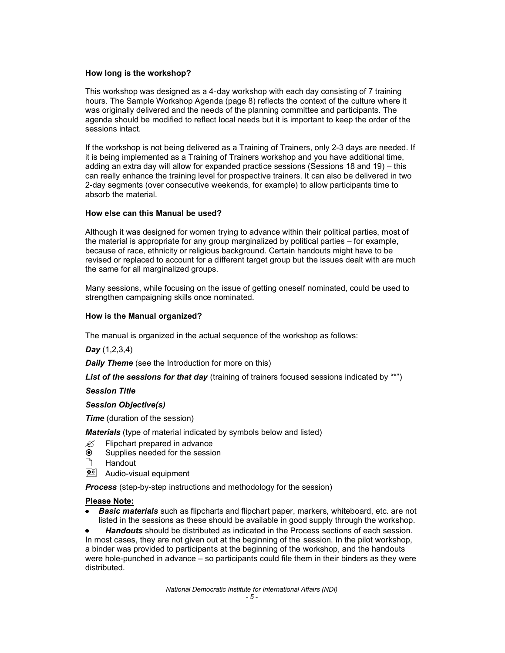#### How long is the workshop?

This workshop was designed as a 4-day workshop with each day consisting of 7 training hours. The Sample Workshop Agenda (page 8) reflects the context of the culture where it was originally delivered and the needs of the planning committee and participants. The agenda should be modified to reflect local needs but it is important to keep the order of the sessions intact.

If the workshop is not being delivered as a Training of Trainers, only 2-3 days are needed. If it is being implemented as a Training of Trainers workshop and you have additional time, adding an extra day will allow for expanded practice sessions (Sessions 18 and 19)  $-$  this can really enhance the training level for prospective trainers. It can also be delivered in two 2-day segments (over consecutive weekends, for example) to allow participants time to absorb the material.

#### How else can this Manual be used?

Although it was designed for women trying to advance within their political parties, most of the material is appropriate for any group marginalized by political parties  $-$  for example, because of race, ethnicity or religious background. Certain handouts might have to be revised or replaced to account for a different target group but the issues dealt with are much the same for all marginalized groups.

Many sessions, while focusing on the issue of getting oneself nominated, could be used to strengthen campaigning skills once nominated.

#### How is the Manual organized?

The manual is organized in the actual sequence of the workshop as follows:

*Day* (1,2,3,4)

*Daily Theme* (see the Introduction for more on this)

*List* of the sessions for that day (training of trainers focused sessions indicated by "\*")

#### *Session Title*

#### *Session Objective(s)*

*Time* (duration of the session)

*Materials* (type of material indicated by symbols below and listed)

- Flipchart prepared in advance Ø
- $\odot$ Supplies needed for the session
- $\bigcap$ **Handout**
- **D**<sup>o</sup> Audio-visual equipment

*Process* (step-by-step instructions and methodology for the session)

#### Please Note:

*Basic materials* such as flipcharts and flipchart paper, markers, whiteboard, etc. are not listed in the sessions as these should be available in good supply through the workshop.

*Handouts* should be distributed as indicated in the Process sections of each session. In most cases, they are not given out at the beginning of the session. In the pilot workshop, a binder was provided to participants at the beginning of the workshop, and the handouts were hole-punched in advance  $-$  so participants could file them in their binders as they were distributed.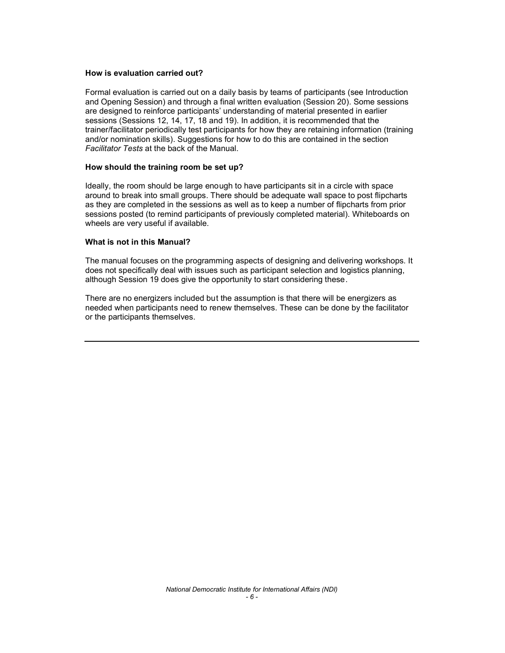#### How is evaluation carried out?

Formal evaluation is carried out on a daily basis by teams of participants (see Introduction and Opening Session) and through a final written evaluation (Session 20). Some sessions are designed to reinforce participants' understanding of material presented in earlier sessions (Sessions 12, 14, 17, 18 and 19). In addition, it is recommended that the trainer/facilitator periodically test participants for how they are retaining information (training and/or nomination skills). Suggestions for how to do this are contained in the section *Facilitator Tests* at the back of the Manual.

#### How should the training room be set up?

Ideally, the room should be large enough to have participants sit in a circle with space around to break into small groups. There should be adequate wall space to post flipcharts as they are completed in the sessions as well as to keep a number of flipcharts from prior sessions posted (to remind participants of previously completed material). Whiteboards on wheels are very useful if available.

#### What is not in this Manual?

The manual focuses on the programming aspects of designing and delivering workshops. It does not specifically deal with issues such as participant selection and logistics planning, although Session 19 does give the opportunity to start considering these.

There are no energizers included but the assumption is that there will be energizers as needed when participants need to renew themselves. These can be done by the facilitator or the participants themselves.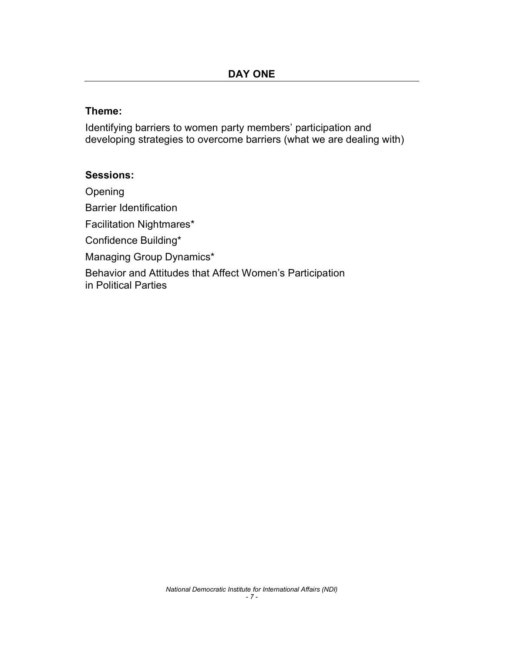# Theme:

Identifying barriers to women party members' participation and developing strategies to overcome barriers (what we are dealing with)

# Sessions:

Opening Barrier Identification Facilitation Nightmares\* Confidence Building\* Managing Group Dynamics\* Behavior and Attitudes that Affect Women's Participation in Political Parties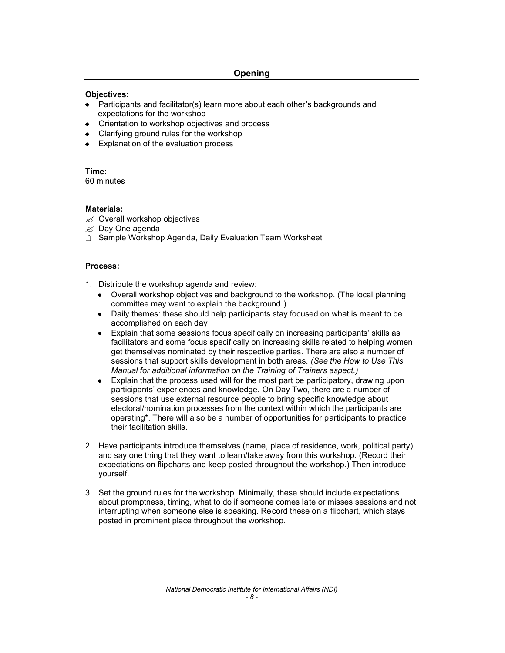### Objectives:

- Participants and facilitator(s) learn more about each other's backgrounds and expectations for the workshop
- Orientation to workshop objectives and process
- Clarifying ground rules for the workshop
- Explanation of the evaluation process

### Time:

60 minutes

### Materials:

- $\mathscr{\mathscr{A}}$  Overall workshop objectives
- $\mathscr{\mathscr{A}}$  Day One agenda
- □ Sample Workshop Agenda, Daily Evaluation Team Worksheet

### Process:

- 1. Distribute the workshop agenda and review:
	- Overall workshop objectives and background to the workshop. (The local planning committee may want to explain the background.)
	- Daily themes: these should help participants stay focused on what is meant to be accomplished on each day
	- $\bullet$  Explain that some sessions focus specifically on increasing participants' skills as facilitators and some focus specifically on increasing skills related to helping women get themselves nominated by their respective parties. There are also a number of sessions that support skills development in both areas. *(See the How to Use This Manual for additional information on the Training of Trainers aspect.)*
	- Explain that the process used will for the most part be participatory, drawing upon participants' experiences and knowledge. On Day Two, there are a number of sessions that use external resource people to bring specific knowledge about electoral/nomination processes from the context within which the participants are operating\*. There will also be a number of opportunities for participants to practice their facilitation skills.
- 2. Have participants introduce themselves (name, place of residence, work, political party) and say one thing that they want to learn/take away from this workshop. (Record their expectations on flipcharts and keep posted throughout the workshop.) Then introduce yourself.
- 3. Set the ground rules for the workshop. Minimally, these should include expectations about promptness, timing, what to do if someone comes late or misses sessions and not interrupting when someone else is speaking. Record these on a flipchart, which stays posted in prominent place throughout the workshop.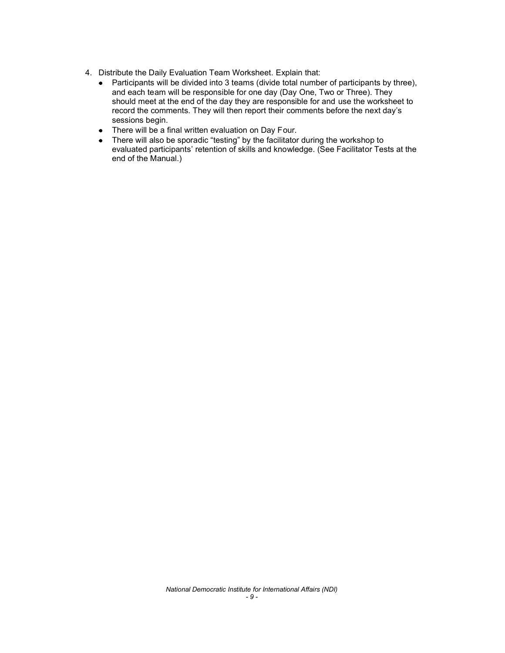- 4. Distribute the Daily Evaluation Team Worksheet. Explain that:
	- $\bullet$ Participants will be divided into 3 teams (divide total number of participants by three), and each team will be responsible for one day (Day One, Two or Three). They should meet at the end of the day they are responsible for and use the worksheet to record the comments. They will then report their comments before the next day's sessions begin.
	- There will be a final written evaluation on Day Four.  $\bullet$
	- There will also be sporadic "testing" by the facilitator during the workshop to  $\bullet$ evaluated participants' retention of skills and knowledge. (See Facilitator Tests at the end of the Manual.)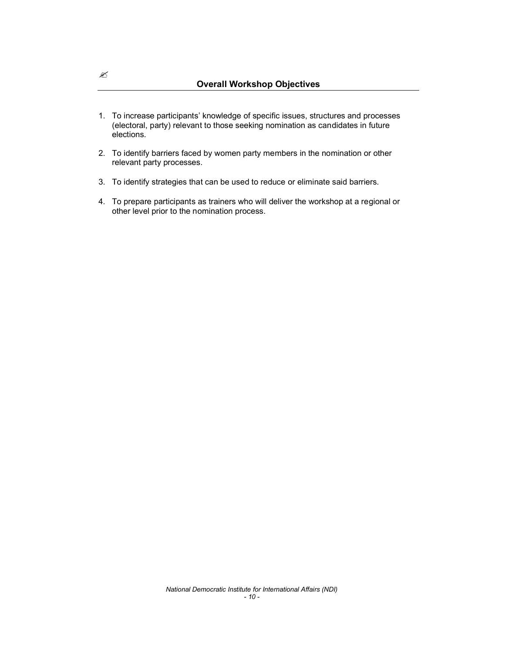- 1. To increase participants' knowledge of specific issues, structures and processes (electoral, party) relevant to those seeking nomination as candidates in future elections.
- 2. To identify barriers faced by women party members in the nomination or other relevant party processes.
- 3. To identify strategies that can be used to reduce or eliminate said barriers.
- 4. To prepare participants as trainers who will deliver the workshop at a regional or other level prior to the nomination process.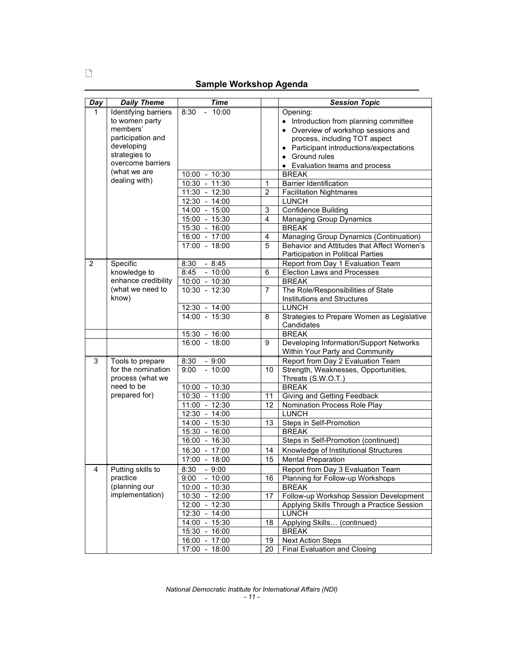# Sample Workshop Agenda

| Day | <b>Daily Theme</b>   | <b>Time</b>                    |                | <b>Session Topic</b>                                                             |
|-----|----------------------|--------------------------------|----------------|----------------------------------------------------------------------------------|
| 1   | Identifying barriers | $-10:00$<br>8:30               |                | Opening:                                                                         |
|     | to women party       |                                |                | • Introduction from planning committee                                           |
|     | members'             |                                |                | • Overview of workshop sessions and                                              |
|     | participation and    |                                |                | process, including TOT aspect                                                    |
|     | developing           |                                |                | • Participant introductions/expectations                                         |
|     | strategies to        |                                |                | • Ground rules                                                                   |
|     | overcome barriers    |                                |                | • Evaluation teams and process                                                   |
|     | (what we are         | 10:00 - 10:30                  |                | <b>BREAK</b>                                                                     |
|     | dealing with)        | $10:30 - 11:30$                | $\mathbf{1}$   | <b>Barrier Identification</b>                                                    |
|     |                      | $11:30 - 12:30$                | $\overline{2}$ | <b>Facilitation Nightmares</b>                                                   |
|     |                      | $12:30 - 14:00$                |                | <b>LUNCH</b>                                                                     |
|     |                      | 14:00 - 15:00                  | 3              | Confidence Building                                                              |
|     |                      | 15:00 - 15:30                  | 4              | <b>Managing Group Dynamics</b>                                                   |
|     |                      | 15:30 - 16:00                  |                | <b>BREAK</b>                                                                     |
|     |                      | $16:00 - 17:00$                | 4              | Managing Group Dynamics (Continuation)                                           |
|     |                      | $17:00 - 18:00$                | 5              | Behavior and Attitudes that Affect Women's<br>Participation in Political Parties |
| 2   | Specific             | 8:30<br>$-8:45$                |                | Report from Day 1 Evaluation Team                                                |
|     | knowledge to         | 8:45<br>$-10:00$               | 6              | <b>Election Laws and Processes</b>                                               |
|     | enhance credibility  | $10:00 - 10:30$                |                | <b>BREAK</b>                                                                     |
|     | (what we need to     | $10:30 - 12:30$                | $\overline{7}$ | The Role/Responsibilities of State                                               |
|     | know)                |                                |                | Institutions and Structures                                                      |
|     |                      | 12:30 - 14:00                  |                | <b>LUNCH</b>                                                                     |
|     |                      | $14:00 - 15:30$                | 8              | Strategies to Prepare Women as Legislative                                       |
|     |                      |                                |                | Candidates                                                                       |
|     |                      | 15:30 - 16:00                  |                | <b>BREAK</b>                                                                     |
|     |                      | 16:00 - 18:00                  | 9              | Developing Information/Support Networks                                          |
|     |                      |                                |                | Within Your Party and Community                                                  |
| 3   | Tools to prepare     | 8:30<br>$-9:00$                |                | Report from Day 2 Evaluation Team                                                |
|     | for the nomination   | $-10:00$<br>9:00               | 10             | Strength, Weaknesses, Opportunities,                                             |
|     | process (what we     |                                |                | Threats (S.W.O.T.)                                                               |
|     | need to be           | 10:00 - 10:30                  |                | <b>BREAK</b>                                                                     |
|     | prepared for)        | $10:30 - 11:00$                | 11             | Giving and Getting Feedback                                                      |
|     |                      | $11:00 - 12:30$                | 12             | Nomination Process Role Play                                                     |
|     |                      | $12:30 - 14:00$                |                | <b>LUNCH</b>                                                                     |
|     |                      | 14:00 - 15:30                  | 13             | Steps in Self-Promotion<br><b>BREAK</b>                                          |
|     |                      | 15:30 - 16:00<br>16:00 - 16:30 |                | Steps in Self-Promotion (continued)                                              |
|     |                      | 16:30 - 17:00                  | 14             | Knowledge of Institutional Structures                                            |
|     |                      | 17:00 - 18:00                  | 15             | <b>Mental Preparation</b>                                                        |
| 4   | Putting skills to    | 8:30<br>$-9:00$                |                | Report from Day 3 Evaluation Team                                                |
|     | practice             | 9:00<br>$-10:00$               | 16             | Planning for Follow-up Workshops                                                 |
|     | (planning our        | 10:00 - 10:30                  |                | <b>BREAK</b>                                                                     |
|     | implementation)      | 10:30 - 12:00                  | 17             | Follow-up Workshop Session Development                                           |
|     |                      | 12:00 - 12:30                  |                | Applying Skills Through a Practice Session                                       |
|     |                      | 12:30 - 14:00                  |                | <b>LUNCH</b>                                                                     |
|     |                      | 14:00 - 15:30                  | 18             | Applying Skills (continued)                                                      |
|     |                      | 15:30 - 16:00                  |                | <b>BREAK</b>                                                                     |
|     |                      | 16:00 - 17:00                  | 19             | <b>Next Action Steps</b>                                                         |
|     |                      | $17:00 - 18:00$                | 20             | <b>Final Evaluation and Closing</b>                                              |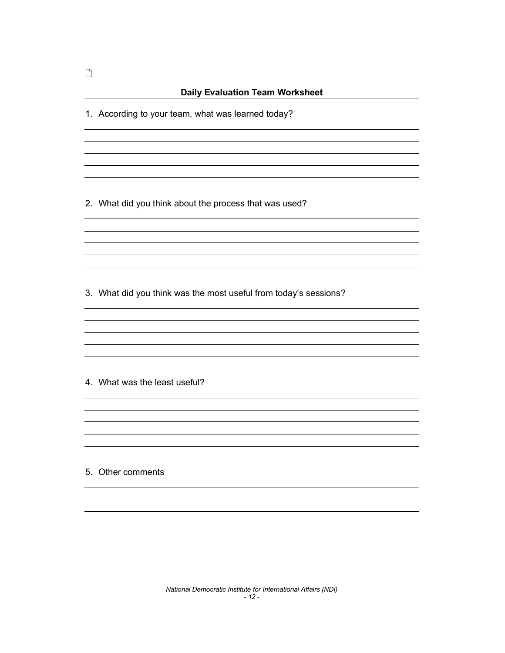1. According to your team, what was learned today?

2. What did you think about the process that was used?

3. What did you think was the most useful from today's sessions?

4. What was the least useful?

5. Other comments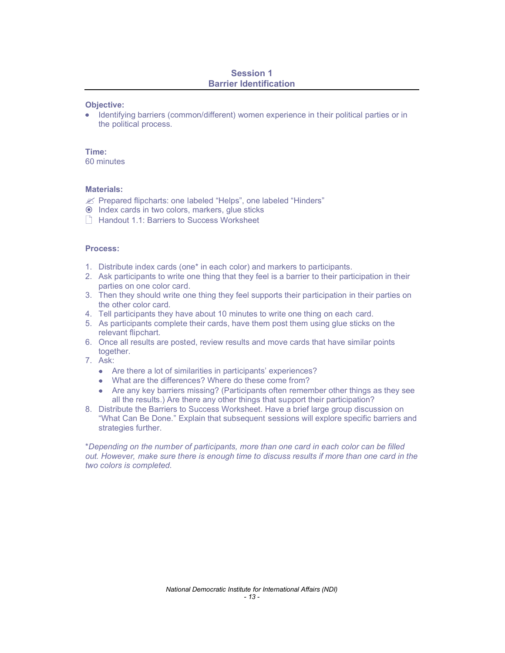### Session 1 Barrier Identification

#### Objective:

Identifying barriers (common/different) women experience in their political parties or in the political process.

#### Time:

60 minutes

#### Materials:

- $\mathscr{L}$  Prepared flipcharts: one labeled "Helps", one labeled "Hinders"
- Index cards in two colors, markers, glue sticks
- $\parallel$  Handout 1.1: Barriers to Success Worksheet

#### Process:

- 1. Distribute index cards (one\* in each color) and markers to participants.
- 2. Ask participants to write one thing that they feel is a barrier to their participation in their parties on one color card.
- 3. Then they should write one thing they feel supports their participation in their parties on the other color card.
- 4. Tell participants they have about 10 minutes to write one thing on each card.
- 5. As participants complete their cards, have them post them using glue sticks on the relevant flipchart.
- 6. Once all results are posted, review results and move cards that have similar points together.
- 7. Ask:
	- Are there a lot of similarities in participants' experiences?
	- What are the differences? Where do these come from?
	- Are any key barriers missing? (Participants often remember other things as they see all the results.) Are there any other things that support their participation?
- 8. Distribute the Barriers to Success Worksheet. Have a brief large group discussion on What Can Be Done. Explain that subsequent sessions will explore specific barriers and strategies further.

\**Depending on the number of participants, more than one card in each color can be filled out. However, make sure there is enough time to discuss results if more than one card in the two colors is completed.*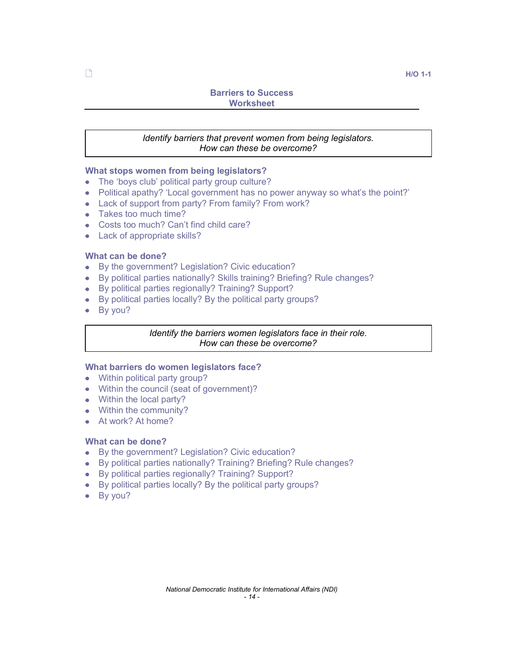# Barriers to Success **Worksheet**

# *Identify barriers that prevent women from being legislators. How can these be overcome?*

### What stops women from being legislators?

- $\bullet$  The 'boys club' political party group culture?
- Political apathy? 'Local government has no power anyway so what's the point?'
- Lack of support from party? From family? From work?
- Takes too much time?
- Costs too much? Can't find child care?
- Lack of appropriate skills?

### What can be done?

- By the government? Legislation? Civic education?
- By political parties nationally? Skills training? Briefing? Rule changes?
- By political parties regionally? Training? Support?
- By political parties locally? By the political party groups?
- By you?

### *Identify the barriers women legislators face in their role. How can these be overcome?*

### What barriers do women legislators face?

- Within political party group?
- Within the council (seat of government)?
- Within the local party?
- Within the community?
- At work? At home?

# What can be done?

- By the government? Legislation? Civic education?
- By political parties nationally? Training? Briefing? Rule changes?
- By political parties regionally? Training? Support?
- By political parties locally? By the political party groups?
- By you?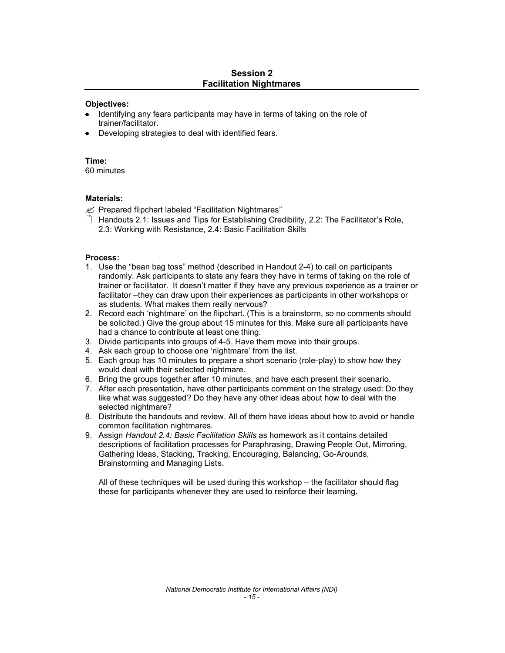### Session 2 Facilitation Nightmares

### Objectives:

- Identifying any fears participants may have in terms of taking on the role of trainer/facilitator.
- Developing strategies to deal with identified fears.

### Time:

60 minutes

### Materials:

 $\mathscr{L}$  Prepared flipchart labeled "Facilitation Nightmares"

 $\Box$  Handouts 2.1: Issues and Tips for Establishing Credibility, 2.2: The Facilitator's Role, 2.3: Working with Resistance, 2.4: Basic Facilitation Skills

### Process:

- 1. Use the "bean bag toss" method (described in Handout 2-4) to call on participants randomly. Ask participants to state any fears they have in terms of taking on the role of trainer or facilitator. It doesn't matter if they have any previous experience as a trainer or facilitator -they can draw upon their experiences as participants in other workshops or as students. What makes them really nervous?
- 2. Record each 'nightmare' on the flipchart. (This is a brainstorm, so no comments should be solicited.) Give the group about 15 minutes for this. Make sure all participants have had a chance to contribute at least one thing.
- 3. Divide participants into groups of 4-5. Have them move into their groups.
- 4. Ask each group to choose one 'nightmare' from the list.
- 5. Each group has 10 minutes to prepare a short scenario (role-play) to show how they would deal with their selected nightmare.
- 6. Bring the groups together after 10 minutes, and have each present their scenario.
- 7. After each presentation, have other participants comment on the strategy used: Do they like what was suggested? Do they have any other ideas about how to deal with the selected nightmare?
- 8. Distribute the handouts and review. All of them have ideas about how to avoid or handle common facilitation nightmares.
- 9. Assign *Handout 2.4: Basic Facilitation Skills* as homework as it contains detailed descriptions of facilitation processes for Paraphrasing, Drawing People Out, Mirroring, Gathering Ideas, Stacking, Tracking, Encouraging, Balancing, Go-Arounds, Brainstorming and Managing Lists.

All of these techniques will be used during this workshop  $-$  the facilitator should flag these for participants whenever they are used to reinforce their learning.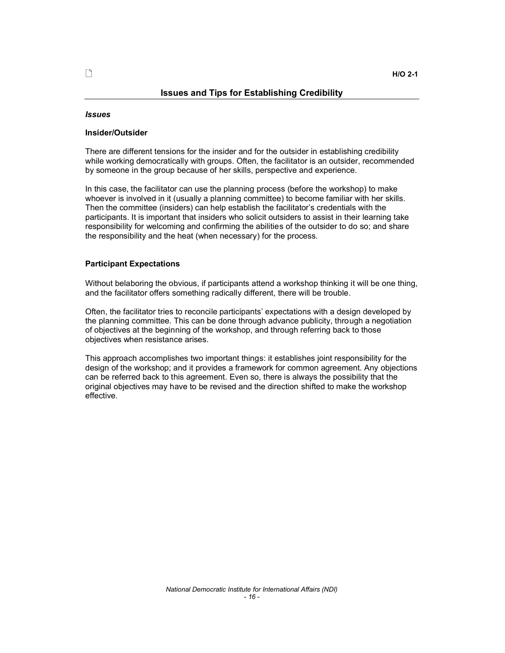#### Issues and Tips for Establishing Credibility

#### *Issues*

#### Insider/Outsider

There are different tensions for the insider and for the outsider in establishing credibility while working democratically with groups. Often, the facilitator is an outsider, recommended by someone in the group because of her skills, perspective and experience.

In this case, the facilitator can use the planning process (before the workshop) to make whoever is involved in it (usually a planning committee) to become familiar with her skills. Then the committee (insiders) can help establish the facilitator's credentials with the participants. It is important that insiders who solicit outsiders to assist in their learning take responsibility for welcoming and confirming the abilities of the outsider to do so; and share the responsibility and the heat (when necessary) for the process.

#### Participant Expectations

Without belaboring the obvious, if participants attend a workshop thinking it will be one thing, and the facilitator offers something radically different, there will be trouble.

Often, the facilitator tries to reconcile participants' expectations with a design developed by the planning committee. This can be done through advance publicity, through a negotiation of objectives at the beginning of the workshop, and through referring back to those objectives when resistance arises.

This approach accomplishes two important things: it establishes joint responsibility for the design of the workshop; and it provides a framework for common agreement. Any objections can be referred back to this agreement. Even so, there is always the possibility that the original objectives may have to be revised and the direction shifted to make the workshop effective.

*- 16 -*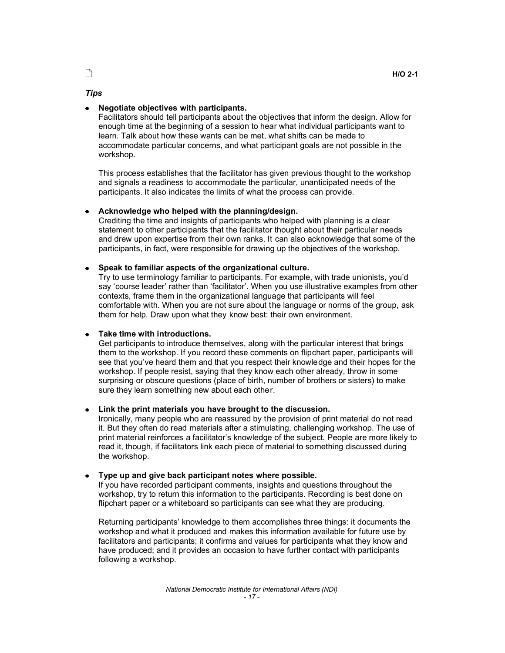#### *Tips*

#### Negotiate objectives with participants.

Facilitators should tell participants about the objectives that inform the design. Allow for enough time at the beginning of a session to hear what individual participants want to learn. Talk about how these wants can be met, what shifts can be made to accommodate particular concerns, and what participant goals are not possible in the workshop.

This process establishes that the facilitator has given previous thought to the workshop and signals a readiness to accommodate the particular, unanticipated needs of the participants. It also indicates the limits of what the process can provide.

#### Acknowledge who helped with the planning/design.

Crediting the time and insights of participants who helped with planning is a clear statement to other participants that the facilitator thought about their particular needs and drew upon expertise from their own ranks. It can also acknowledge that some of the participants, in fact, were responsible for drawing up the objectives of the workshop.

#### Speak to familiar aspects of the organizational culture.

Try to use terminology familiar to participants. For example, with trade unionists, youd say 'course leader' rather than 'facilitator'. When you use illustrative examples from other contexts, frame them in the organizational language that participants will feel comfortable with. When you are not sure about the language or norms of the group, ask them for help. Draw upon what they know best: their own environment.

#### Take time with introductions.

Get participants to introduce themselves, along with the particular interest that brings them to the workshop. If you record these comments on flipchart paper, participants will see that you've heard them and that you respect their knowledge and their hopes for the workshop. If people resist, saying that they know each other already, throw in some surprising or obscure questions (place of birth, number of brothers or sisters) to make sure they learn something new about each other.

#### Link the print materials you have brought to the discussion.

Ironically, many people who are reassured by the provision of print material do not read it. But they often do read materials after a stimulating, challenging workshop. The use of print material reinforces a facilitator's knowledge of the subject. People are more likely to read it, though, if facilitators link each piece of material to something discussed during the workshop.

#### Type up and give back participant notes where possible.

If you have recorded participant comments, insights and questions throughout the workshop, try to return this information to the participants. Recording is best done on flipchart paper or a whiteboard so participants can see what they are producing.

Returning participants' knowledge to them accomplishes three things: it documents the workshop and what it produced and makes this information available for future use by facilitators and participants; it confirms and values for participants what they know and have produced; and it provides an occasion to have further contact with participants following a workshop.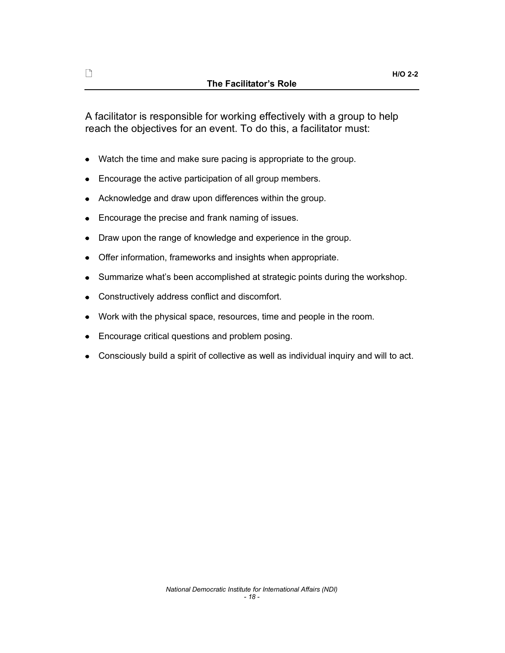A facilitator is responsible for working effectively with a group to help reach the objectives for an event. To do this, a facilitator must:

- Watch the time and make sure pacing is appropriate to the group.
- Encourage the active participation of all group members.
- Acknowledge and draw upon differences within the group.
- Encourage the precise and frank naming of issues.
- Draw upon the range of knowledge and experience in the group.
- Offer information, frameworks and insights when appropriate.
- Summarize what's been accomplished at strategic points during the workshop.  $\bullet$
- Constructively address conflict and discomfort.  $\bullet$
- Work with the physical space, resources, time and people in the room.
- Encourage critical questions and problem posing.  $\bullet$
- Consciously build a spirit of collective as well as individual inquiry and will to act.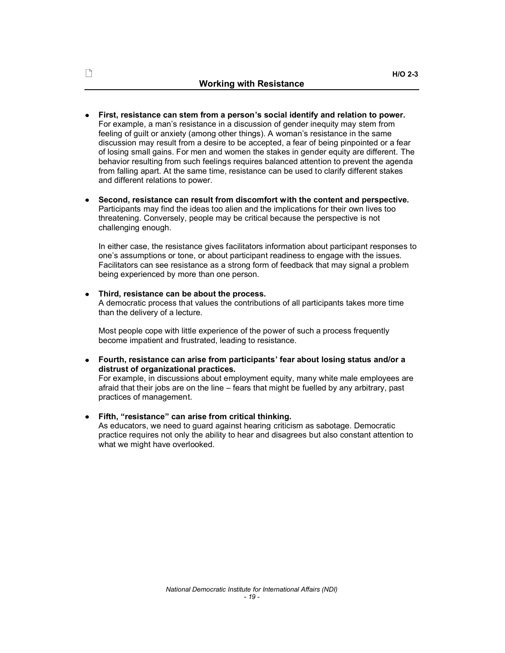- First, resistance can stem from a person's social identify and relation to power. For example, a man's resistance in a discussion of gender inequity may stem from feeling of quilt or anxiety (among other things). A woman's resistance in the same discussion may result from a desire to be accepted, a fear of being pinpointed or a fear of losing small gains. For men and women the stakes in gender equity are different. The behavior resulting from such feelings requires balanced attention to prevent the agenda from falling apart. At the same time, resistance can be used to clarify different stakes and different relations to power.
- Second, resistance can result from discomfort with the content and perspective. Participants may find the ideas too alien and the implications for their own lives too threatening. Conversely, people may be critical because the perspective is not challenging enough.

In either case, the resistance gives facilitators information about participant responses to one's assumptions or tone, or about participant readiness to engage with the issues. Facilitators can see resistance as a strong form of feedback that may signal a problem being experienced by more than one person.

Third, resistance can be about the process. A democratic process that values the contributions of all participants takes more time than the delivery of a lecture.

Most people cope with little experience of the power of such a process frequently become impatient and frustrated, leading to resistance.

Fourth, resistance can arise from participants' fear about losing status and/or a distrust of organizational practices.

For example, in discussions about employment equity, many white male employees are afraid that their jobs are on the line  $-$  fears that might be fuelled by any arbitrary, past practices of management.

Fifth, "resistance" can arise from critical thinking.

As educators, we need to guard against hearing criticism as sabotage. Democratic practice requires not only the ability to hear and disagrees but also constant attention to what we might have overlooked.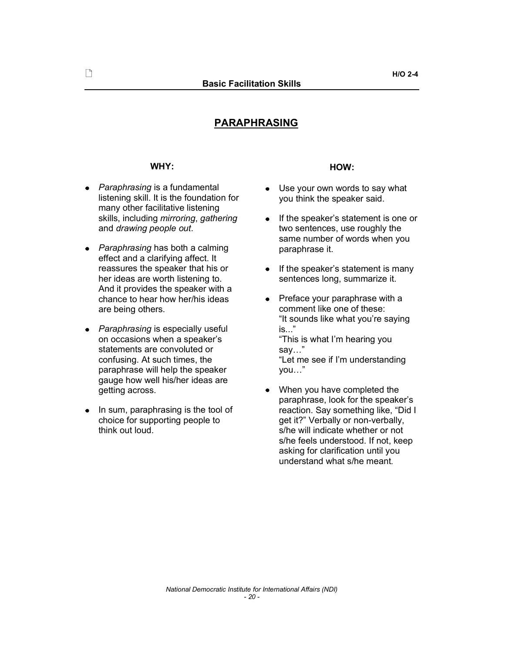# PARAPHRASING

- *Paraphrasing* is a fundamental listening skill. It is the foundation for many other facilitative listening skills, including *mirroring*, *gathering* and *drawing people out*.
- Paraphrasing has both a calming effect and a clarifying affect. It reassures the speaker that his or her ideas are worth listening to. And it provides the speaker with a chance to hear how her/his ideas are being others.
- *Paraphrasing* is especially useful **is...**" on occasions when a speaker's statements are convoluted or confusing. At such times, the paraphrase will help the speaker gauge how well his/her ideas are getting across.
- In sum, paraphrasing is the tool of choice for supporting people to think out loud.

# WHY: **HOW:**

- $\bullet$ Use your own words to say what you think the speaker said.
- If the speaker's statement is one or two sentences, use roughly the same number of words when you<br>paraphrase it.
- $\bullet$  If the speaker's statement is many sentences long, summarize it.
- Preface your paraphrase with a  $\bullet$ comment like one of these: "It sounds like what you're saying "This is what I'm hearing you say..." "Let me see if I'm understanding you..."
- When you have completed the  $\bullet$ paraphrase, look for the speaker's reaction. Say something like, "Did I get it?" Verbally or non-verbally, s/he will indicate whether or not s/he feels understood. If not, keep asking for clarification until you understand what s/he meant.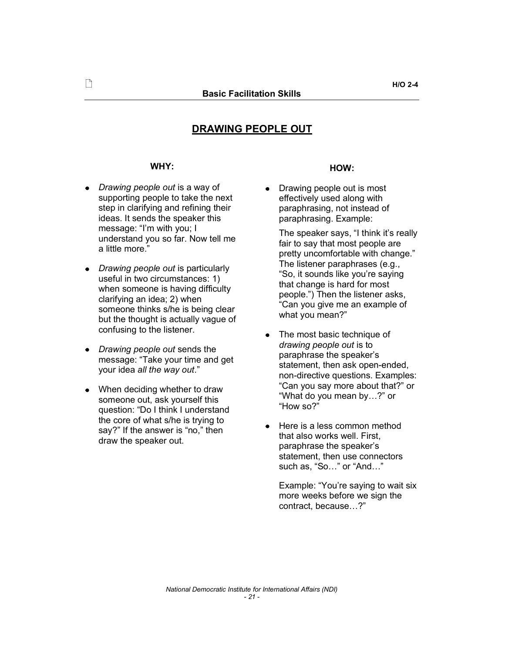# DRAWING PEOPLE OUT

- *Drawing people out* is a way of supporting people to take the next step in clarifying and refining their ideas. It sends the speaker this message: "I'm with you; I understand you so far. Now tell me a little more.
- *Drawing people out* is particularly useful in two circumstances: 1) when someone is having difficulty clarifying an idea; 2) when someone thinks s/he is being clear but the thought is actually vague of confusing to the listener.<br>
• The most basic technique of
- *Drawing people out* sends the message: "Take your time and get your idea *all the way out*.
- When deciding whether to draw someone out, ask yourself this question: "Do I think I understand the core of what s/he is trying to say?" If the answer is "no," then draw the speaker out.

# WHY: **HOW:**

Drawing people out is most  $\bullet$ effectively used along with paraphrasing, not instead of paraphrasing. Example:

The speaker says, "I think it's really fair to say that most people are pretty uncomfortable with change." The listener paraphrases (e.g., "So, it sounds like you're saying that change is hard for most people.") Then the listener asks, Can you give me an example of what you mean?"

- *drawing people out* is to paraphrase the speaker's statement, then ask open-ended, non-directive questions. Examples: "Can you say more about that?" or "What do you mean by...?" or "How  $\text{so}2$ "
- Here is a less common method that also works well. First, paraphrase the speaker's statement, then use connectors such as, "So..." or "And..."

Example: "You're saying to wait six more weeks before we sign the contract, because...?"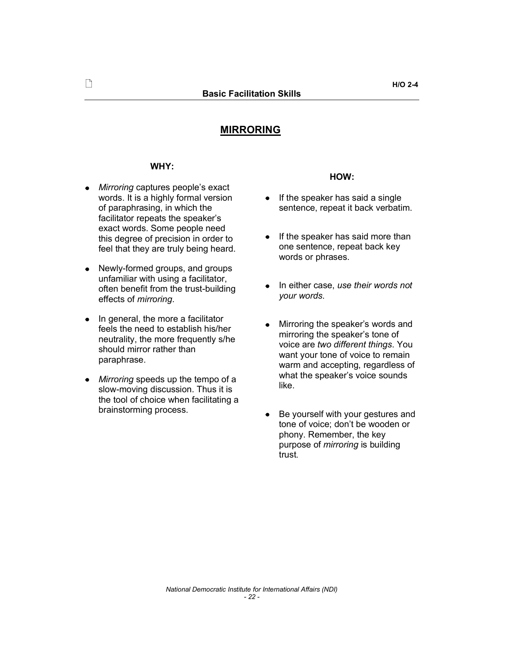# MIRRORING

### WHY:

- *Mirroring* captures people's exact words. It is a highly formal version of paraphrasing, in which the facilitator repeats the speaker's exact words. Some people need this degree of precision in order to feel that they are truly being heard.
- Newly-formed groups, and groups  $\bullet$ unfamiliar with using a facilitator, often benefit from the trust-building effects of *mirroring*.
- In general, the more a facilitator feels the need to establish his/her neutrality, the more frequently s/he should mirror rather than paraphrase.
- $\bullet$ *Mirroring* speeds up the tempo of a slow-moving discussion. Thus it is the tool of choice when facilitating a brainstorming process.

#### HOW:

- $\bullet$  If the speaker has said a single sentence, repeat it back verbatim.
- $\bullet$  If the speaker has said more than one sentence, repeat back key words or phrases.
- In either case, *use their words not*   $\bullet$ *your words*.
- Mirroring the speaker's words and  $\bullet$ mirroring the speaker's tone of voice are *two different things*. You want your tone of voice to remain warm and accepting, regardless of what the speaker's voice sounds like.
- Be yourself with your gestures and  $\bullet$ tone of voice; don't be wooden or phony. Remember, the key purpose of *mirroring* is building trust.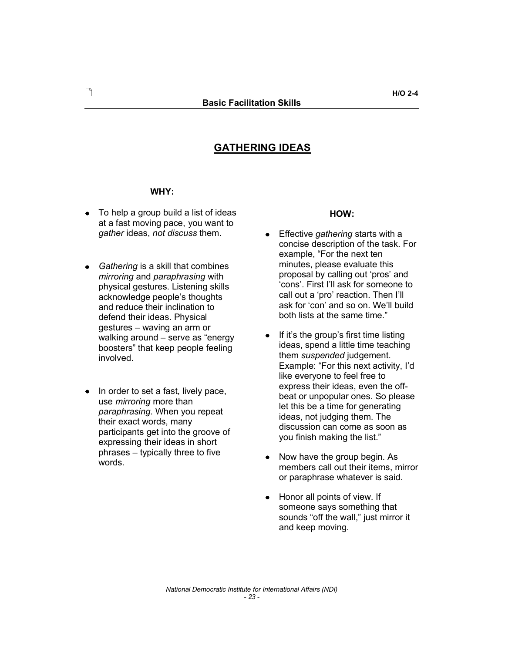# GATHERING IDEAS

### WHY:

- To help a group build a list of ideas at a fast moving pace, you want to *gather* ideas, *not discuss* them.
- *Gathering* is a skill that combines *mirroring* and *paraphrasing* with physical gestures. Listening skills acknowledge people's thoughts and reduce their inclination to defend their ideas. Physical gestures - waving an arm or walking around  $-$  serve as "energy boosters" that keep people feeling involved.
- In order to set a fast, lively pace, use *mirroring* more than *paraphrasing*. When you repeat their exact words, many participants get into the groove of expressing their ideas in short  $phrases - typically three to five$ words.

### HOW:

- $\bullet$ Effective *gathering* starts with a concise description of the task. For example, "For the next ten minutes, please evaluate this proposal by calling out 'pros' and 'cons'. First I'll ask for someone to call out a 'pro' reaction. Then I'll ask for 'con' and so on. We'll build both lists at the same time."
- If it's the group's first time listing  $\bullet$ ideas, spend a little time teaching them *suspended* judgement. Example: "For this next activity, I'd like everyone to feel free to express their ideas, even the offbeat or unpopular ones. So please let this be a time for generating ideas, not judging them. The discussion can come as soon as you finish making the list.
- $\bullet$ Now have the group begin. As members call out their items, mirror or paraphrase whatever is said.
- Honor all points of view. If  $\bullet$ someone says something that sounds "off the wall," just mirror it and keep moving.

H/O 2-4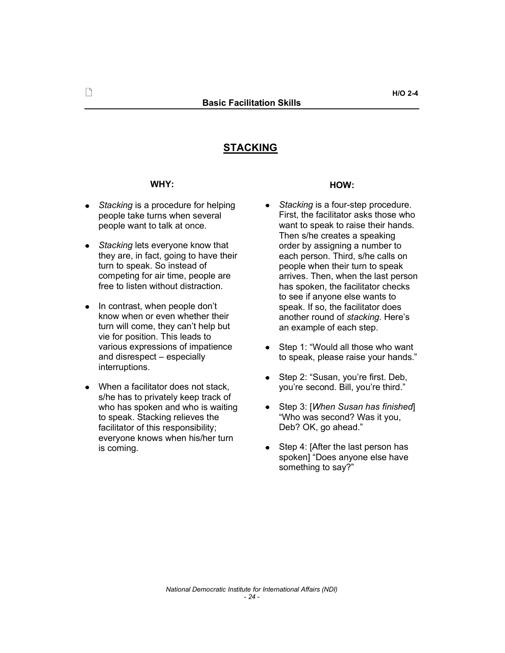# STACKING

#### WHY:

- *Stacking* is a procedure for helping people take turns when several people want to talk at once.
- *Stacking* lets everyone know that they are, in fact, going to have their turn to speak. So instead of competing for air time, people are free to listen without distraction.
- In contrast, when people don't know when or even whether their turn will come, they can't help but vie for position. This leads to various expressions of impatience and disrespect - especially interruptions.
- When a facilitator does not stack, s/he has to privately keep track of who has spoken and who is waiting to speak. Stacking relieves the facilitator of this responsibility; everyone knows when his/her turn is coming.

#### HOW:

- *Stacking* is a four-step procedure.  $\bullet$ First, the facilitator asks those who want to speak to raise their hands. Then s/he creates a speaking order by assigning a number to each person. Third, s/he calls on people when their turn to speak arrives. Then, when the last person has spoken, the facilitator checks to see if anyone else wants to speak. If so, the facilitator does another round of *stacking*. Here's an example of each step.
- Step 1: "Would all those who want to speak, please raise your hands.
- Step 2: "Susan, you're first. Deb, you're second. Bill, you're third."
- $\bullet$ Step 3: [*When Susan has finished*] Who was second? Was it you, Deb? OK, go ahead."
- Step 4: [After the last person has  $\bullet$ spoken] "Does anyone else have something to say?"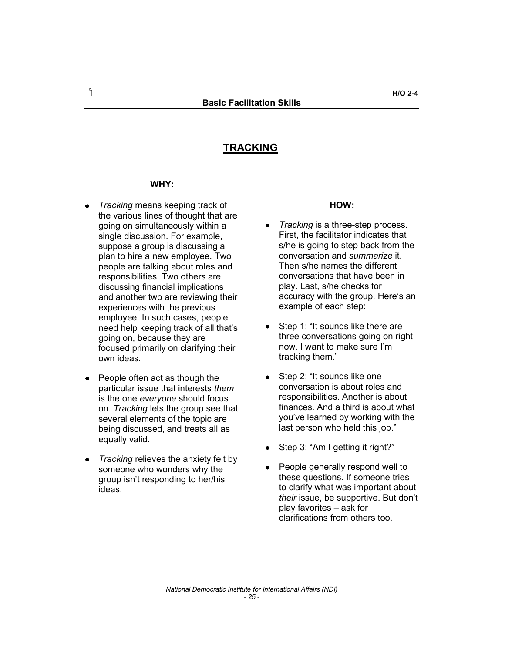# **TRACKING**

#### WHY:

- *Tracking* means keeping track of the various lines of thought that are going on simultaneously within a single discussion. For example, suppose a group is discussing a plan to hire a new employee. Two people are talking about roles and responsibilities. Two others are discussing financial implications and another two are reviewing their experiences with the previous employee. In such cases, people need help keeping track of all that's going on, because they are focused primarily on clarifying their own ideas.
- People often act as though the particular issue that interests *them* is the one *everyone* should focus on. *Tracking* lets the group see that several elements of the topic are being discussed, and treats all as equally valid.
- *Tracking* relieves the anxiety felt by someone who wonders why the group isn't responding to her/his ideas.

#### HOW:

- *Tracking* is a three-step process.  $\bullet$ First, the facilitator indicates that s/he is going to step back from the conversation and *summarize* it. Then s/he names the different conversations that have been in play. Last, s/he checks for accuracy with the group. Here's an example of each step:
- Step 1: "It sounds like there are three conversations going on right now. I want to make sure Im tracking them.
- Step 2: "It sounds like one  $\bullet$ conversation is about roles and responsibilities. Another is about finances. And a third is about what you've learned by working with the last person who held this job."
- $\bullet$  Step 3: "Am I getting it right?"
- People generally respond well to  $\bullet$ these questions. If someone tries to clarify what was important about *their* issue, be supportive. But don't play favorites  $-$  ask for clarifications from others too.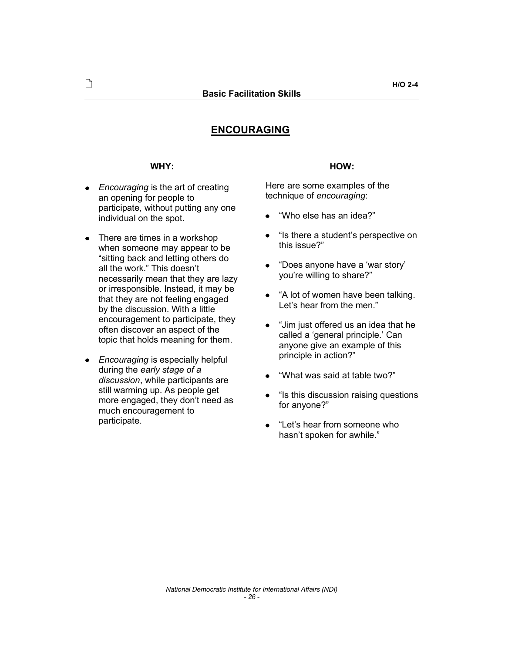# ENCOURAGING

### WHY:

- *Encouraging* is the art of creating an opening for people to participate, without putting any one individual on the spot.
- There are times in a workshop  $\bullet$ when someone may appear to be sitting back and letting others do all the work." This doesn't necessarily mean that they are lazy or irresponsible. Instead, it may be that they are not feeling engaged by the discussion. With a little encouragement to participate, they often discover an aspect of the topic that holds meaning for them.
- *Encouraging* is especially helpful  $\bullet$ during the *early stage of a discussion*, while participants are still warming up. As people get more engaged, they don't need as much encouragement to participate.

# HOW:

Here are some examples of the technique of *encouraging*:

- Who else has an idea?
- $\bullet$ "Is there a student's perspective on this issue?
- "Does anyone have a 'war story' you're willing to share?"
- "A lot of women have been talking. Let's hear from the men."
- $\bullet$ "Jim just offered us an idea that he called a 'general principle.' Can anyone give an example of this principle in action?
- What was said at table two?
- $\bullet$  "Is this discussion raising questions for anyone?
- "Let's hear from someone who  $\bullet$ hasn't spoken for awhile."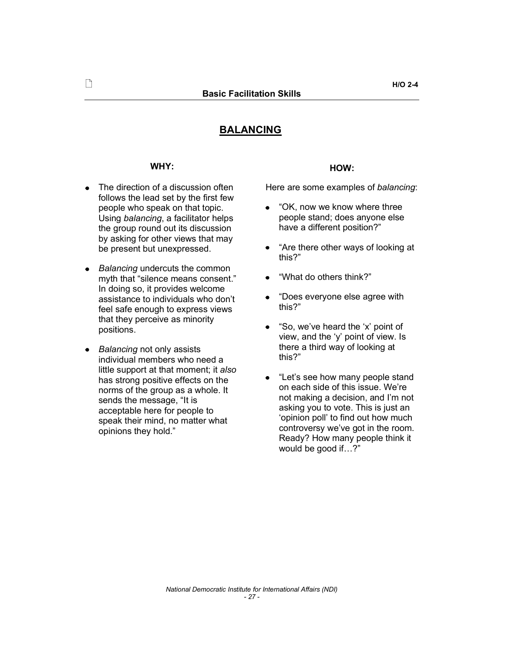# **BALANCING**

#### WHY:

- The direction of a discussion often follows the lead set by the first few people who speak on that topic. Using *balancing*, a facilitator helps the group round out its discussion by asking for other views that may be present but unexpressed.
- *Balancing* undercuts the common myth that "silence means consent." In doing so, it provides welcome assistance to individuals who don't feel safe enough to express views that they perceive as minority positions.
- *Balancing* not only assists individual members who need a little support at that moment; it *also* has strong positive effects on the norms of the group as a whole. It sends the message, "It is acceptable here for people to speak their mind, no matter what opinions they hold.

### HOW:

Here are some examples of *balancing*:

- OK, now we know where three  $\bullet$ people stand; does anyone else have a different position?
- $\bullet$ Are there other ways of looking at this?
- What do others think?  $\bullet$
- "Does everyone else agree with this?
- "So, we've heard the 'x' point of  $\bullet$ view, and the 'y' point of view. Is there a third way of looking at this?
- "Let's see how many people stand  $\bullet$ on each side of this issue. We're not making a decision, and I'm not asking you to vote. This is just an 'opinion poll' to find out how much controversy we've got in the room. Ready? How many people think it would be good if...?"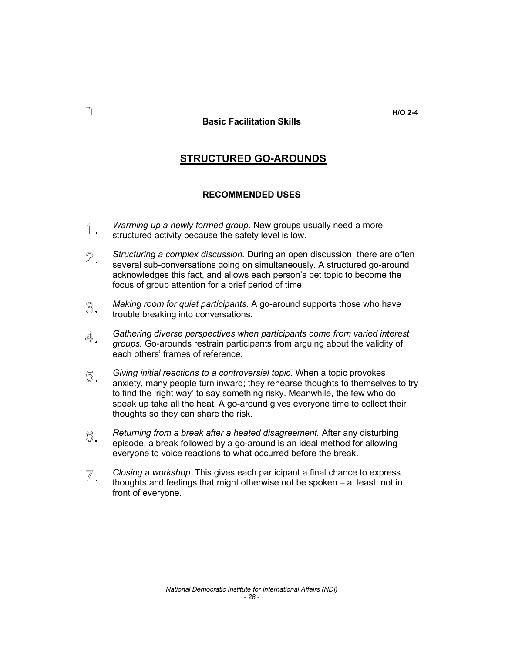# STRUCTURED GO-AROUNDS

# RECOMMENDED USES

- *Warming up a newly formed group.* New groups usually need a more 1. structured activity because the safety level is low.
- $2.$ *Structuring a complex discussion.* During an open discussion, there are often several sub-conversations going on simultaneously. A structured go-around acknowledges this fact, and allows each person's pet topic to become the focus of group attention for a brief period of time.
- *Making room for quiet participants.* A go-around supports those who have 3. trouble breaking into conversations.
- *Gathering diverse perspectives when participants come from varied interest*  4. *groups.* Go-arounds restrain participants from arguing about the validity of each others' frames of reference.
- *Giving initial reactions to a controversial topic.* When a topic provokes 5. anxiety, many people turn inward; they rehearse thoughts to themselves to try to find the 'right way' to say something risky. Meanwhile, the few who do speak up take all the heat. A go-around gives everyone time to collect their thoughts so they can share the risk.
- *Returning from a break after a heated disagreement.* After any disturbing 6. episode, a break followed by a go-around is an ideal method for allowing everyone to voice reactions to what occurred before the break.
- $\overline{\mathbb{Z}}$  . *Closing a workshop.* This gives each participant a final chance to express thoughts and feelings that might otherwise not be spoken  $-$  at least, not in front of everyone.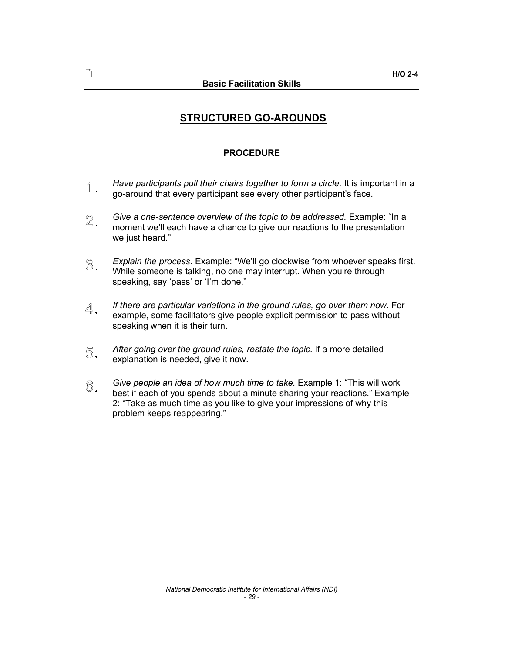# STRUCTURED GO-AROUNDS

# PROCEDURE

- *Have participants pull their chairs together to form a circle.* It is important in a 1. go-around that every participant see every other participant's face.
- $2.$ *Give* a *one-sentence overview of the topic to be addressed.* Example: "In a moment we'll each have a chance to give our reactions to the presentation we just heard."
- 3. *Explain the process.* Example: "We'll go clockwise from whoever speaks first. While someone is talking, no one may interrupt. When you're through speaking, say 'pass' or 'I'm done."
- *If there are particular variations in the ground rules, go over them now.* For 4. example, some facilitators give people explicit permission to pass without speaking when it is their turn.
- *After going over the ground rules, restate the topic.* If a more detailed 5. explanation is needed, give it now.
- *Give people an idea of how much time to take.* Example 1: This will work 6. best if each of you spends about a minute sharing your reactions." Example 2: Take as much time as you like to give your impressions of why this problem keeps reappearing.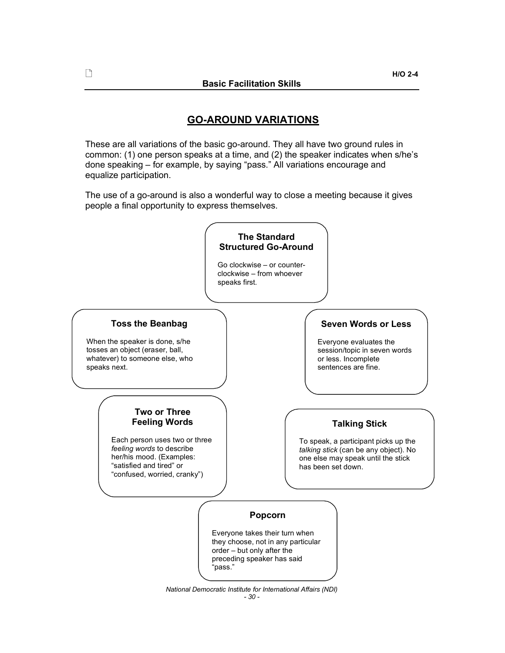$\Box$ 

# GO-AROUND VARIATIONS

These are all variations of the basic go-around. They all have two ground rules in common:  $(1)$  one person speaks at a time, and  $(2)$  the speaker indicates when s/he's done speaking – for example, by saying "pass." All variations encourage and equalize participation.

The use of a go-around is also a wonderful way to close a meeting because it gives people a final opportunity to express themselves.

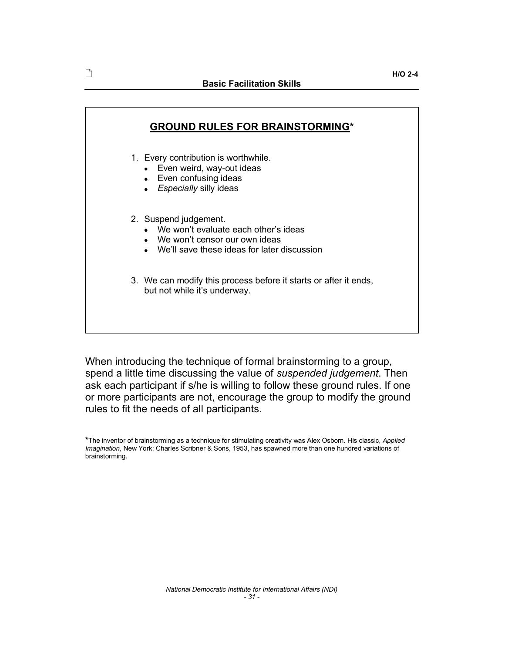| <b>GROUND RULES FOR BRAINSTORMING*</b> |                                                                                                                                                     |  |  |
|----------------------------------------|-----------------------------------------------------------------------------------------------------------------------------------------------------|--|--|
|                                        | 1. Every contribution is worthwhile.<br>• Even weird, way-out ideas<br>• Even confusing ideas<br>• Especially silly ideas                           |  |  |
|                                        | 2. Suspend judgement.<br>• We won't evaluate each other's ideas<br>• We won't censor our own ideas<br>• We'll save these ideas for later discussion |  |  |
|                                        | 3. We can modify this process before it starts or after it ends,<br>but not while it's underway.                                                    |  |  |
|                                        |                                                                                                                                                     |  |  |

When introducing the technique of formal brainstorming to a group, spend a little time discussing the value of *suspended judgement*. Then ask each participant if s/he is willing to follow these ground rules. If one or more participants are not, encourage the group to modify the ground rules to fit the needs of all participants.

<sup>\*</sup>The inventor of brainstorming as a technique for stimulating creativity was Alex Osborn. His classic, *Applied Imagination*, New York: Charles Scribner & Sons, 1953, has spawned more than one hundred variations of brainstorming.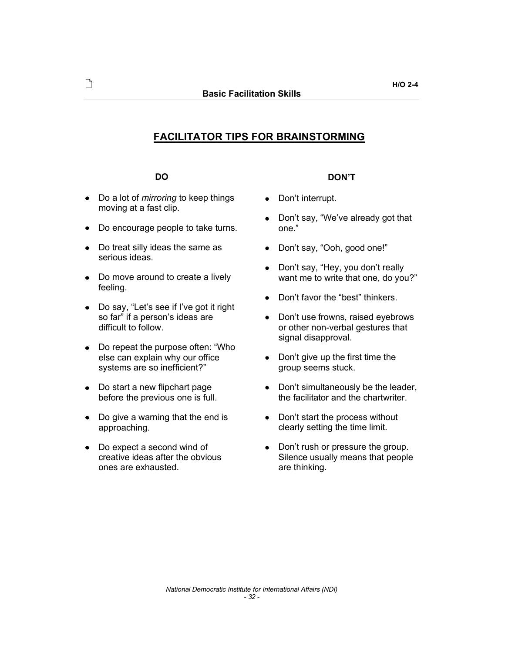# FACILITATOR TIPS FOR BRAINSTORMING

### DO

- Do a lot of *mirroring* to keep things moving at a fast clip.
- Do encourage people to take turns.
- Do treat silly ideas the same as serious ideas.
- Do move around to create a lively feeling.
- Do say, "Let's see if I've got it right  $\bullet$ so far" if a person's ideas are difficult to follow.
- Do repeat the purpose often: "Who else can explain why our office systems are so inefficient?"
- Do start a new flipchart page before the previous one is full.
- Do give a warning that the end is approaching.
- Do expect a second wind of  $\bullet$ creative ideas after the obvious ones are exhausted.

### DON'T

- Don't interrupt.  $\bullet$
- $\bullet$  Don't say, "We've already got that one.
- Don't say, "Ooh, good one!"
- Don't say, "Hey, you don't really  $\bullet$ want me to write that one, do you?"
- Don't favor the "best" thinkers.
- $\bullet$  Don't use frowns, raised eyebrows or other non-verbal gestures that signal disapproval.
- $\bullet$  Don't give up the first time the group seems stuck.
- $\bullet$  Don't simultaneously be the leader, the facilitator and the chartwriter.
- $\bullet$  Don't start the process without clearly setting the time limit.
- Don't rush or pressure the group. Silence usually means that people are thinking.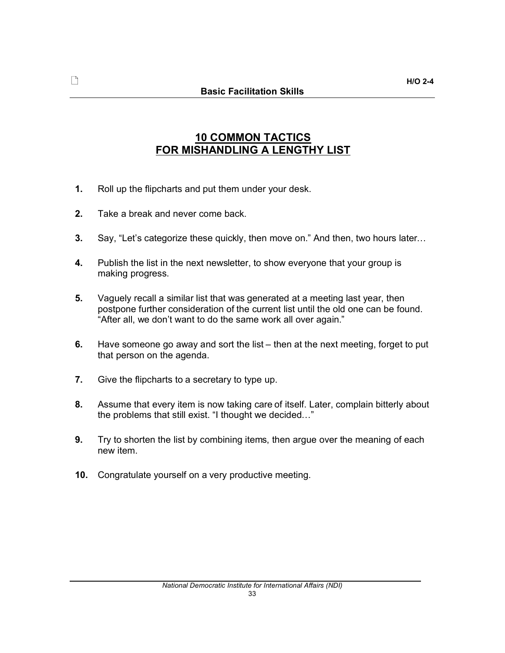# $\Box$

# 10 COMMON TACTICS FOR MISHANDLING A LENGTHY LIST

- 1. Roll up the flipcharts and put them under your desk.
- 2. Take a break and never come back.
- 3. Say, "Let's categorize these quickly, then move on." And then, two hours later...
- 4. Publish the list in the next newsletter, to show everyone that your group is making progress.
- 5. Vaguely recall a similar list that was generated at a meeting last year, then postpone further consideration of the current list until the old one can be found. "After all, we don't want to do the same work all over again."
- 6. Have someone go away and sort the list  $-$  then at the next meeting, forget to put that person on the agenda.
- 7. Give the flipcharts to a secretary to type up.
- 8. Assume that every item is now taking care of itself. Later, complain bitterly about the problems that still exist. "I thought we decided..."
- **9.** Try to shorten the list by combining items, then argue over the meaning of each new item.
- 10. Congratulate yourself on a very productive meeting.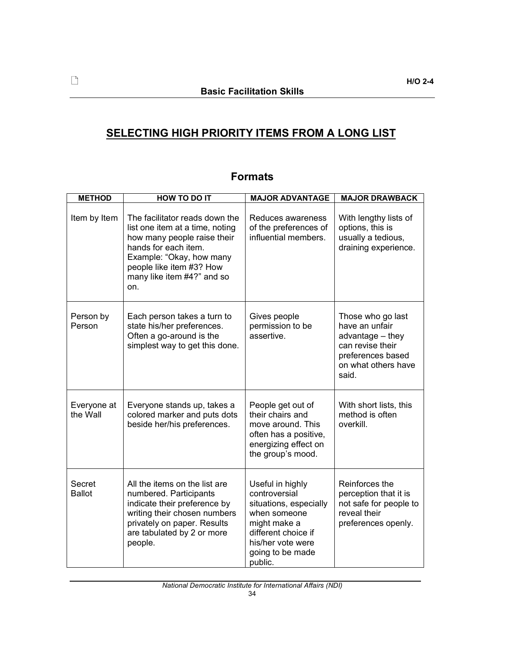# SELECTING HIGH PRIORITY ITEMS FROM A LONG LIST

| <b>METHOD</b>           | <b>HOW TO DO IT</b>                                                                                                                                                                                                   | <b>MAJOR ADVANTAGE</b>                                                                                                                                                 | <b>MAJOR DRAWBACK</b>                                                                                                            |
|-------------------------|-----------------------------------------------------------------------------------------------------------------------------------------------------------------------------------------------------------------------|------------------------------------------------------------------------------------------------------------------------------------------------------------------------|----------------------------------------------------------------------------------------------------------------------------------|
| Item by Item            | The facilitator reads down the<br>list one item at a time, noting<br>how many people raise their<br>hands for each item.<br>Example: "Okay, how many<br>people like item #3? How<br>many like item #4?" and so<br>on. | Reduces awareness<br>of the preferences of<br>influential members.                                                                                                     | With lengthy lists of<br>options, this is<br>usually a tedious,<br>draining experience.                                          |
| Person by<br>Person     | Each person takes a turn to<br>state his/her preferences.<br>Often a go-around is the<br>simplest way to get this done.                                                                                               | Gives people<br>permission to be<br>assertive.                                                                                                                         | Those who go last<br>have an unfair<br>advantage - they<br>can revise their<br>preferences based<br>on what others have<br>said. |
| Everyone at<br>the Wall | Everyone stands up, takes a<br>colored marker and puts dots<br>beside her/his preferences.                                                                                                                            | People get out of<br>their chairs and<br>move around. This<br>often has a positive,<br>energizing effect on<br>the group's mood.                                       | With short lists, this<br>method is often<br>overkill.                                                                           |
| Secret<br><b>Ballot</b> | All the items on the list are<br>numbered. Participants<br>indicate their preference by<br>writing their chosen numbers<br>privately on paper. Results<br>are tabulated by 2 or more<br>people.                       | Useful in highly<br>controversial<br>situations, especially<br>when someone<br>might make a<br>different choice if<br>his/her vote were<br>going to be made<br>public. | Reinforces the<br>perception that it is<br>not safe for people to<br>reveal their<br>preferences openly.                         |

# Formats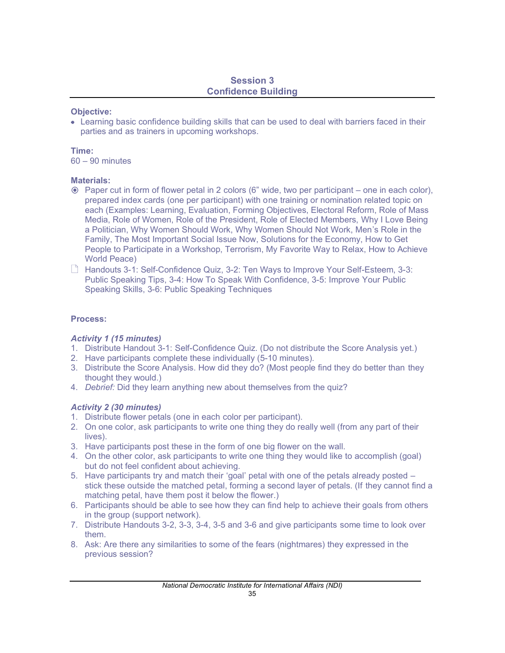# Session 3 Confidence Building

### Objective:

Learning basic confidence building skills that can be used to deal with barriers faced in their parties and as trainers in upcoming workshops.

### Time:

 $60 - 90$  minutes

# Materials:

- $\odot$  Paper cut in form of flower petal in 2 colors (6" wide, two per participant  $-$  one in each color), prepared index cards (one per participant) with one training or nomination related topic on each (Examples: Learning, Evaluation, Forming Objectives, Electoral Reform, Role of Mass Media, Role of Women, Role of the President, Role of Elected Members, Why I Love Being a Politician, Why Women Should Work, Why Women Should Not Work, Men's Role in the Family, The Most Important Social Issue Now, Solutions for the Economy, How to Get People to Participate in a Workshop, Terrorism, My Favorite Way to Relax, How to Achieve World Peace)
- $\Box$  Handouts 3-1: Self-Confidence Quiz, 3-2: Ten Ways to Improve Your Self-Esteem, 3-3: Public Speaking Tips, 3-4: How To Speak With Confidence, 3-5: Improve Your Public Speaking Skills, 3-6: Public Speaking Techniques

# Process:

# *Activity 1 (15 minutes)*

- 1. Distribute Handout 3-1: Self-Confidence Quiz. (Do not distribute the Score Analysis yet.)
- 2. Have participants complete these individually (5-10 minutes).
- 3. Distribute the Score Analysis. How did they do? (Most people find they do better than they thought they would.)
- 4. *Debrief:* Did they learn anything new about themselves from the quiz?

# *Activity 2 (30 minutes)*

- 1. Distribute flower petals (one in each color per participant).
- 2. On one color, ask participants to write one thing they do really well (from any part of their lives).
- 3. Have participants post these in the form of one big flower on the wall.
- 4. On the other color, ask participants to write one thing they would like to accomplish (goal) but do not feel confident about achieving.
- 5. Have participants try and match their 'goal' petal with one of the petals already posted  $$ stick these outside the matched petal, forming a second layer of petals. (If they cannot find a matching petal, have them post it below the flower.)
- 6. Participants should be able to see how they can find help to achieve their goals from others in the group (support network).
- 7. Distribute Handouts 3-2, 3-3, 3-4, 3-5 and 3-6 and give participants some time to look over them.
- 8. Ask: Are there any similarities to some of the fears (nightmares) they expressed in the previous session?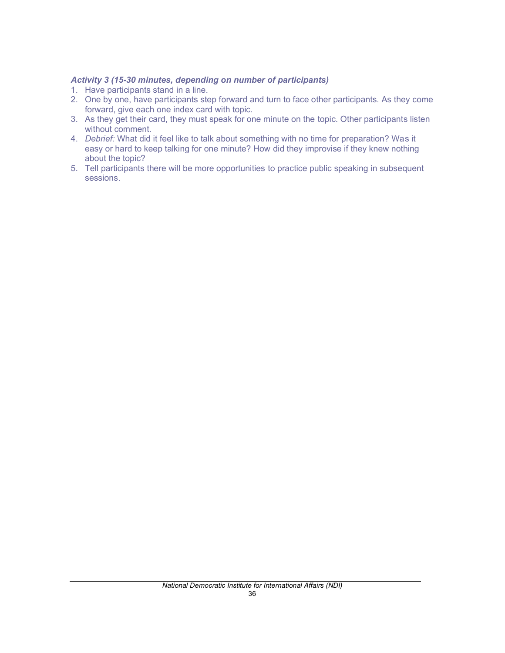# *Activity 3 (15-30 minutes, depending on number of participants)*

- 1. Have participants stand in a line.
- 2. One by one, have participants step forward and turn to face other participants. As they come forward, give each one index card with topic.
- 3. As they get their card, they must speak for one minute on the topic. Other participants listen without comment.
- 4. *Debrief:* What did it feel like to talk about something with no time for preparation? Was it easy or hard to keep talking for one minute? How did they improvise if they knew nothing about the topic?
- 5. Tell participants there will be more opportunities to practice public speaking in subsequent sessions.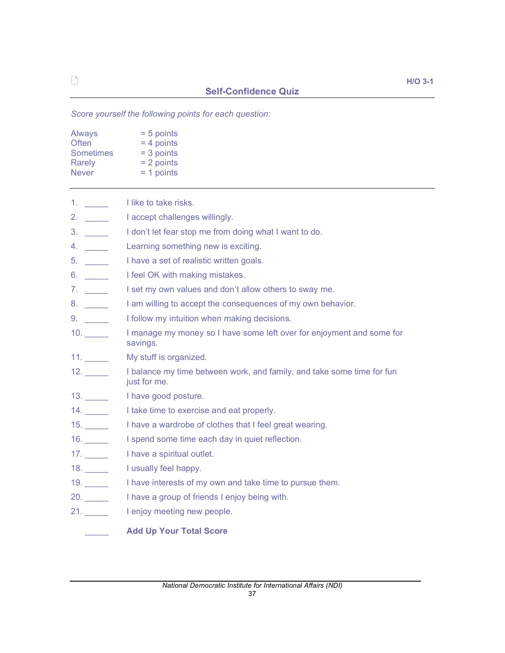*Score yourself the following points for each question:*

| Always           | $= 5$ points |
|------------------|--------------|
| Often            | $= 4$ points |
| <b>Sometimes</b> | $=$ 3 points |
| Rarely           | $= 2$ points |
| <b>Never</b>     | $= 1$ points |

| $1.$ $\qquad \qquad$ | I like to take risks.                                                                  |
|----------------------|----------------------------------------------------------------------------------------|
| 2. $\qquad$          | I accept challenges willingly.                                                         |
|                      | I don't let fear stop me from doing what I want to do.                                 |
| 4.                   | Learning something new is exciting.                                                    |
|                      | I have a set of realistic written goals.                                               |
| 6.                   | I feel OK with making mistakes.                                                        |
|                      | I set my own values and don't allow others to sway me.                                 |
|                      | I am willing to accept the consequences of my own behavior.                            |
|                      | I follow my intuition when making decisions.                                           |
| 10.                  | I manage my money so I have some left over for enjoyment and some for<br>savings.      |
| 11.                  | My stuff is organized.                                                                 |
| 12.                  | I balance my time between work, and family, and take some time for fun<br>just for me. |
| 13.                  | I have good posture.                                                                   |
| 14.                  | I take time to exercise and eat properly.                                              |
| 15.                  | I have a wardrobe of clothes that I feel great wearing.                                |
| 16.                  | I spend some time each day in quiet reflection.                                        |
| 17.                  | I have a spiritual outlet.                                                             |
| 18.                  | I usually feel happy.                                                                  |
| 19.                  | I have interests of my own and take time to pursue them.                               |
| 20.                  | I have a group of friends I enjoy being with.                                          |
| 21.                  | I enjoy meeting new people.                                                            |
|                      | <b>Add Up Your Total Score</b>                                                         |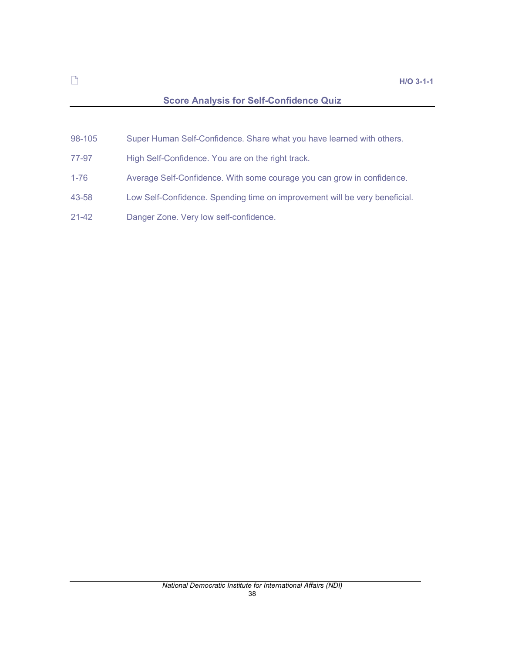# Score Analysis for Self-Confidence Quiz

- 98-105 Super Human Self-Confidence. Share what you have learned with others.
- 77-97 High Self-Confidence. You are on the right track.
- 1-76 Average Self-Confidence. With some courage you can grow in confidence.
- 43-58 Low Self-Confidence. Spending time on improvement will be very beneficial.
- 21-42 Danger Zone. Very low self-confidence.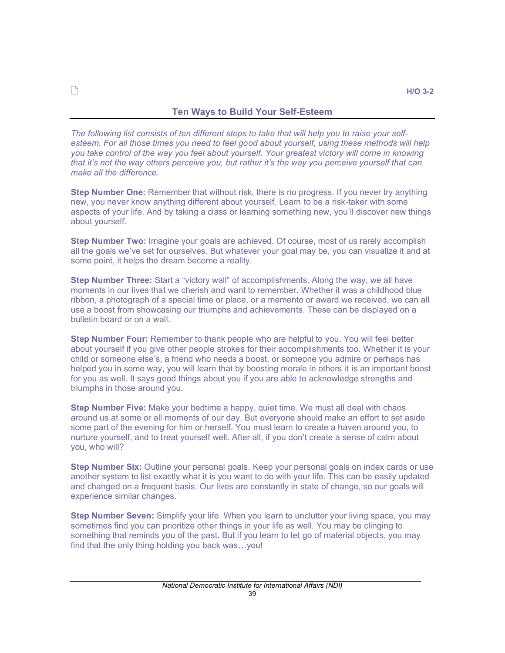# Ten Ways to Build Your Self-Esteem

*The following list consists of ten different steps to take that will help you to raise your selfesteem. For all those times you need to feel good about yourself, using these methods will help you take control of the way you feel about yourself. Your greatest victory will come in knowing that its not the way others perceive you, but rather its the way you perceive yourself that can make all the difference.*

Step Number One: Remember that without risk, there is no progress. If you never try anything new, you never know anything different about yourself. Learn to be a risk-taker with some aspects of your life. And by taking a class or learning something new, youll discover new things about yourself.

**Step Number Two:** Imagine your goals are achieved. Of course, most of us rarely accomplish all the goals we've set for ourselves. But whatever your goal may be, you can visualize it and at some point, it helps the dream become a reality.

**Step Number Three:** Start a "victory wall" of accomplishments. Along the way, we all have moments in our lives that we cherish and want to remember. Whether it was a childhood blue ribbon, a photograph of a special time or place, or a memento or award we received, we can all use a boost from showcasing our triumphs and achievements. These can be displayed on a bulletin board or on a wall.

Step Number Four: Remember to thank people who are helpful to you. You will feel better about yourself if you give other people strokes for their accomplishments too. Whether it is your child or someone else's, a friend who needs a boost, or someone you admire or perhaps has helped you in some way, you will learn that by boosting morale in others it is an important boost for you as well. It says good things about you if you are able to acknowledge strengths and triumphs in those around you.

Step Number Five: Make your bedtime a happy, quiet time. We must all deal with chaos around us at some or all moments of our day. But everyone should make an effort to set aside some part of the evening for him or herself. You must learn to create a haven around you, to nurture yourself, and to treat yourself well. After all, if you don't create a sense of calm about you, who will?

Step Number Six: Outline your personal goals. Keep your personal goals on index cards or use another system to list exactly what it is you want to do with your life. This can be easily updated and changed on a frequent basis. Our lives are constantly in state of change, so our goals will experience similar changes.

**Step Number Seven:** Simplify your life. When you learn to unclutter your living space, you may sometimes find you can prioritize other things in your life as well. You may be clinging to something that reminds you of the past. But if you learn to let go of material objects, you may find that the only thing holding you back was... you!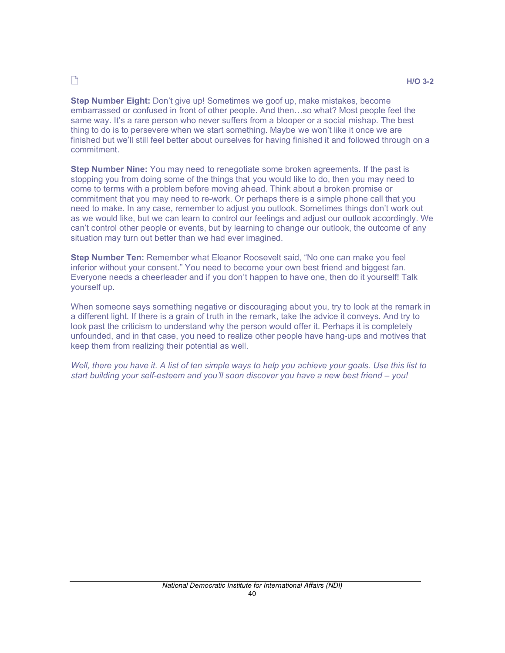# $\Box$

Step Number Eight: Don't give up! Sometimes we goof up, make mistakes, become embarrassed or confused in front of other people. And then...so what? Most people feel the same way. It's a rare person who never suffers from a blooper or a social mishap. The best thing to do is to persevere when we start something. Maybe we won't like it once we are finished but we'll still feel better about ourselves for having finished it and followed through on a commitment.

**Step Number Nine:** You may need to renegotiate some broken agreements. If the past is stopping you from doing some of the things that you would like to do, then you may need to come to terms with a problem before moving ahead. Think about a broken promise or commitment that you may need to re-work. Or perhaps there is a simple phone call that you need to make. In any case, remember to adjust you outlook. Sometimes things don't work out as we would like, but we can learn to control our feelings and adjust our outlook accordingly. We can't control other people or events, but by learning to change our outlook, the outcome of any situation may turn out better than we had ever imagined.

Step Number Ten: Remember what Eleanor Roosevelt said, "No one can make you feel inferior without your consent." You need to become your own best friend and biggest fan. Everyone needs a cheerleader and if you don't happen to have one, then do it yourself! Talk yourself up.

When someone says something negative or discouraging about you, try to look at the remark in a different light. If there is a grain of truth in the remark, take the advice it conveys. And try to look past the criticism to understand why the person would offer it. Perhaps it is completely unfounded, and in that case, you need to realize other people have hang-ups and motives that keep them from realizing their potential as well.

*Well, there you have it. A list of ten simple ways to help you achieve your goals. Use this list to start building your self-esteem and youll soon discover you have a new best friend you!*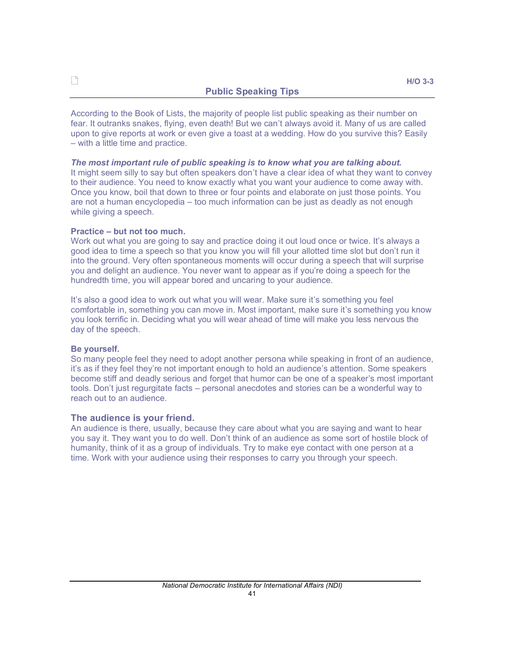According to the Book of Lists, the majority of people list public speaking as their number on fear. It outranks snakes, flying, even death! But we can't always avoid it. Many of us are called upon to give reports at work or even give a toast at a wedding. How do you survive this? Easily - with a little time and practice.

*The most important rule of public speaking is to know what you are talking about.* It might seem silly to say but often speakers don't have a clear idea of what they want to convey to their audience. You need to know exactly what you want your audience to come away with. Once you know, boil that down to three or four points and elaborate on just those points. You are not a human encyclopedia – too much information can be just as deadly as not enough while giving a speech.

#### Practice - but not too much.

Work out what you are going to say and practice doing it out loud once or twice. It's always a good idea to time a speech so that you know you will fill your allotted time slot but don't run it into the ground. Very often spontaneous moments will occur during a speech that will surprise you and delight an audience. You never want to appear as if you're doing a speech for the hundredth time, you will appear bored and uncaring to your audience.

It's also a good idea to work out what you will wear. Make sure it's something you feel comfortable in, something you can move in. Most important, make sure it's something you know you look terrific in. Deciding what you will wear ahead of time will make you less nervous the day of the speech.

#### Be yourself.

So many people feel they need to adopt another persona while speaking in front of an audience, it's as if they feel they're not important enough to hold an audience's attention. Some speakers become stiff and deadly serious and forget that humor can be one of a speaker's most important tools. Don't just regurgitate facts – personal anecdotes and stories can be a wonderful way to reach out to an audience.

### The audience is your friend.

An audience is there, usually, because they care about what you are saying and want to hear you say it. They want you to do well. Don't think of an audience as some sort of hostile block of humanity, think of it as a group of individuals. Try to make eye contact with one person at a time. Work with your audience using their responses to carry you through your speech.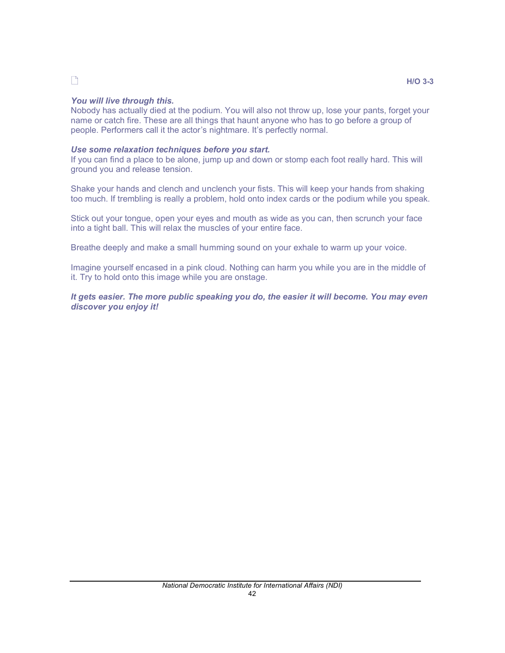# $\Box$

### $H/O$  3-3

# *You will live through this.*

Nobody has actually died at the podium. You will also not throw up, lose your pants, forget your name or catch fire. These are all things that haunt anyone who has to go before a group of people. Performers call it the actor's nightmare. It's perfectly normal.

# *Use some relaxation techniques before you start.*

If you can find a place to be alone, jump up and down or stomp each foot really hard. This will ground you and release tension.

Shake your hands and clench and unclench your fists. This will keep your hands from shaking too much. If trembling is really a problem, hold onto index cards or the podium while you speak.

Stick out your tongue, open your eyes and mouth as wide as you can, then scrunch your face into a tight ball. This will relax the muscles of your entire face.

Breathe deeply and make a small humming sound on your exhale to warm up your voice.

Imagine yourself encased in a pink cloud. Nothing can harm you while you are in the middle of it. Try to hold onto this image while you are onstage.

*It gets easier. The more public speaking you do, the easier it will become. You may even discover you enjoy it!*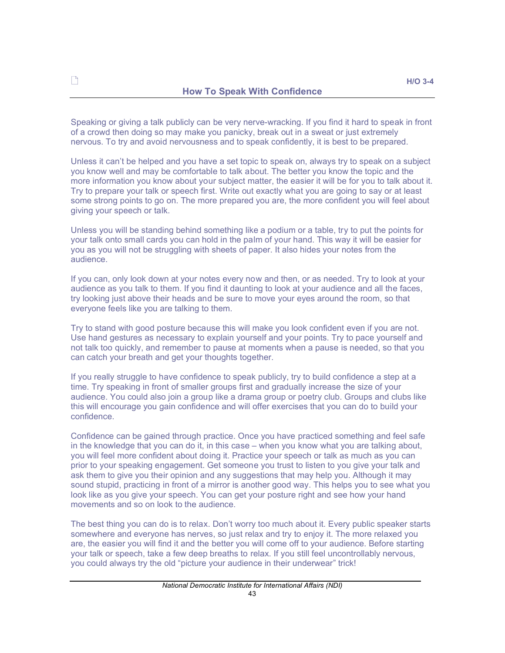Speaking or giving a talk publicly can be very nerve-wracking. If you find it hard to speak in front of a crowd then doing so may make you panicky, break out in a sweat or just extremely nervous. To try and avoid nervousness and to speak confidently, it is best to be prepared.

Unless it can't be helped and you have a set topic to speak on, always try to speak on a subject you know well and may be comfortable to talk about. The better you know the topic and the more information you know about your subject matter, the easier it will be for you to talk about it. Try to prepare your talk or speech first. Write out exactly what you are going to say or at least some strong points to go on. The more prepared you are, the more confident you will feel about giving your speech or talk.

Unless you will be standing behind something like a podium or a table, try to put the points for your talk onto small cards you can hold in the palm of your hand. This way it will be easier for you as you will not be struggling with sheets of paper. It also hides your notes from the audience.

If you can, only look down at your notes every now and then, or as needed. Try to look at your audience as you talk to them. If you find it daunting to look at your audience and all the faces, try looking just above their heads and be sure to move your eyes around the room, so that everyone feels like you are talking to them.

Try to stand with good posture because this will make you look confident even if you are not. Use hand gestures as necessary to explain yourself and your points. Try to pace yourself and not talk too quickly, and remember to pause at moments when a pause is needed, so that you can catch your breath and get your thoughts together.

If you really struggle to have confidence to speak publicly, try to build confidence a step at a time. Try speaking in front of smaller groups first and gradually increase the size of your audience. You could also join a group like a drama group or poetry club. Groups and clubs like this will encourage you gain confidence and will offer exercises that you can do to build your confidence.

Confidence can be gained through practice. Once you have practiced something and feel safe in the knowledge that you can do it, in this case – when you know what you are talking about, you will feel more confident about doing it. Practice your speech or talk as much as you can prior to your speaking engagement. Get someone you trust to listen to you give your talk and ask them to give you their opinion and any suggestions that may help you. Although it may sound stupid, practicing in front of a mirror is another good way. This helps you to see what you look like as you give your speech. You can get your posture right and see how your hand movements and so on look to the audience.

The best thing you can do is to relax. Don't worry too much about it. Every public speaker starts somewhere and everyone has nerves, so just relax and try to enjoy it. The more relaxed you are, the easier you will find it and the better you will come off to your audience. Before starting your talk or speech, take a few deep breaths to relax. If you still feel uncontrollably nervous, you could always try the old "picture your audience in their underwear" trick!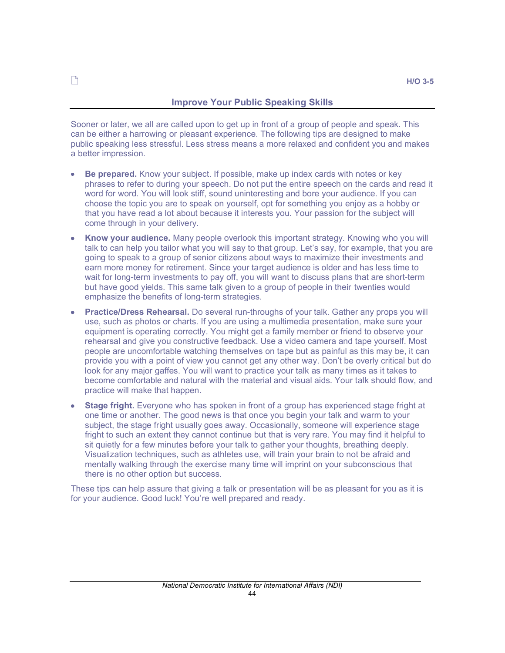# Improve Your Public Speaking Skills

Sooner or later, we all are called upon to get up in front of a group of people and speak. This can be either a harrowing or pleasant experience. The following tips are designed to make public speaking less stressful. Less stress means a more relaxed and confident you and makes a better impression.

- Be prepared. Know your subject. If possible, make up index cards with notes or key phrases to refer to during your speech. Do not put the entire speech on the cards and read it word for word. You will look stiff, sound uninteresting and bore your audience. If you can choose the topic you are to speak on yourself, opt for something you enjoy as a hobby or that you have read a lot about because it interests you. Your passion for the subject will come through in your delivery.
- $\bullet$ Know your audience. Many people overlook this important strategy. Knowing who you will talk to can help you tailor what you will say to that group. Let's say, for example, that you are going to speak to a group of senior citizens about ways to maximize their investments and earn more money for retirement. Since your target audience is older and has less time to wait for long-term investments to pay off, you will want to discuss plans that are short-term but have good yields. This same talk given to a group of people in their twenties would emphasize the benefits of long-term strategies.
- Practice/Dress Rehearsal. Do several run-throughs of your talk. Gather any props you will  $\ddot{\bullet}$ use, such as photos or charts. If you are using a multimedia presentation, make sure your equipment is operating correctly. You might get a family member or friend to observe your rehearsal and give you constructive feedback. Use a video camera and tape yourself. Most people are uncomfortable watching themselves on tape but as painful as this may be, it can provide you with a point of view you cannot get any other way. Don't be overly critical but do look for any major gaffes. You will want to practice your talk as many times as it takes to become comfortable and natural with the material and visual aids. Your talk should flow, and practice will make that happen.
- Stage fright. Everyone who has spoken in front of a group has experienced stage fright at  $\bullet$ one time or another. The good news is that once you begin your talk and warm to your subject, the stage fright usually goes away. Occasionally, someone will experience stage fright to such an extent they cannot continue but that is very rare. You may find it helpful to sit quietly for a few minutes before your talk to gather your thoughts, breathing deeply. Visualization techniques, such as athletes use, will train your brain to not be afraid and mentally walking through the exercise many time will imprint on your subconscious that there is no other option but success.

These tips can help assure that giving a talk or presentation will be as pleasant for you as it is for your audience. Good luck! You're well prepared and ready.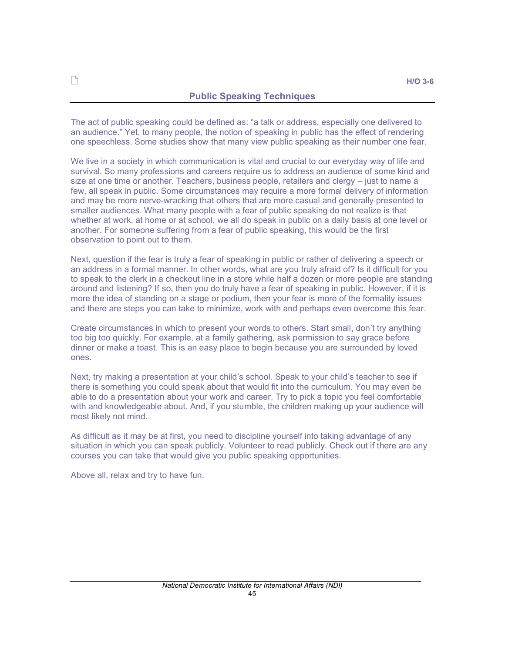## Public Speaking Techniques

The act of public speaking could be defined as: "a talk or address, especially one delivered to an audience." Yet, to many people, the notion of speaking in public has the effect of rendering one speechless. Some studies show that many view public speaking as their number one fear.

We live in a society in which communication is vital and crucial to our everyday way of life and survival. So many professions and careers require us to address an audience of some kind and size at one time or another. Teachers, business people, retailers and clergy  $-$  just to name a few, all speak in public. Some circumstances may require a more formal delivery of information and may be more nerve-wracking that others that are more casual and generally presented to smaller audiences. What many people with a fear of public speaking do not realize is that whether at work, at home or at school, we all do speak in public on a daily basis at one level or another. For someone suffering from a fear of public speaking, this would be the first observation to point out to them.

Next, question if the fear is truly a fear of speaking in public or rather of delivering a speech or an address in a formal manner. In other words, what are you truly afraid of? Is it difficult for you to speak to the clerk in a checkout line in a store while half a dozen or more people are standing around and listening? If so, then you do truly have a fear of speaking in public. However, if it is more the idea of standing on a stage or podium, then your fear is more of the formality issues and there are steps you can take to minimize, work with and perhaps even overcome this fear.

Create circumstances in which to present your words to others. Start small, don't try anything too big too quickly. For example, at a family gathering, ask permission to say grace before dinner or make a toast. This is an easy place to begin because you are surrounded by loved ones.

Next, try making a presentation at your child's school. Speak to your child's teacher to see if there is something you could speak about that would fit into the curriculum. You may even be able to do a presentation about your work and career. Try to pick a topic you feel comfortable with and knowledgeable about. And, if you stumble, the children making up your audience will most likely not mind.

As difficult as it may be at first, you need to discipline yourself into taking advantage of any situation in which you can speak publicly. Volunteer to read publicly. Check out if there are any courses you can take that would give you public speaking opportunities.

Above all, relax and try to have fun.

 $\bigcap$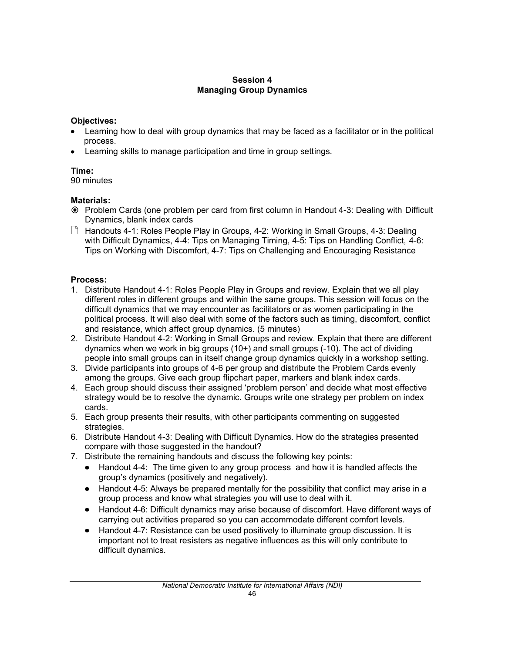# Session 4 Managing Group Dynamics

# Objectives:

- Learning how to deal with group dynamics that may be faced as a facilitator or in the political process.
- Learning skills to manage participation and time in group settings.  $\bullet$

# Time:

90 minutes

# Materials:

- Problem Cards (one problem per card from first column in Handout 4-3: Dealing with Difficult Dynamics, blank index cards
- $\Box$  Handouts 4-1: Roles People Play in Groups, 4-2: Working in Small Groups, 4-3: Dealing with Difficult Dynamics, 4-4: Tips on Managing Timing, 4-5: Tips on Handling Conflict, 4-6: Tips on Working with Discomfort, 4-7: Tips on Challenging and Encouraging Resistance

# Process:

- 1. Distribute Handout 4-1: Roles People Play in Groups and review. Explain that we all play different roles in different groups and within the same groups. This session will focus on the difficult dynamics that we may encounter as facilitators or as women participating in the political process. It will also deal with some of the factors such as timing, discomfort, conflict and resistance, which affect group dynamics. (5 minutes)
- 2. Distribute Handout 4-2: Working in Small Groups and review. Explain that there are different dynamics when we work in big groups (10+) and small groups (-10). The act of dividing people into small groups can in itself change group dynamics quickly in a workshop setting.
- 3. Divide participants into groups of 4-6 per group and distribute the Problem Cards evenly among the groups. Give each group flipchart paper, markers and blank index cards.
- 4. Each group should discuss their assigned 'problem person' and decide what most effective strategy would be to resolve the dynamic. Groups write one strategy per problem on index cards.
- 5. Each group presents their results, with other participants commenting on suggested strategies.
- 6. Distribute Handout 4-3: Dealing with Difficult Dynamics. How do the strategies presented compare with those suggested in the handout?
- 7. Distribute the remaining handouts and discuss the following key points:
	- $\bullet$ Handout 4-4: The time given to any group process and how it is handled affects the group's dynamics (positively and negatively).
	- Handout 4-5: Always be prepared mentally for the possibility that conflict may arise in a group process and know what strategies you will use to deal with it.
	- Handout 4-6: Difficult dynamics may arise because of discomfort. Have different ways of carrying out activities prepared so you can accommodate different comfort levels.
	- Handout 4-7: Resistance can be used positively to illuminate group discussion. It is important not to treat resisters as negative influences as this will only contribute to difficult dynamics.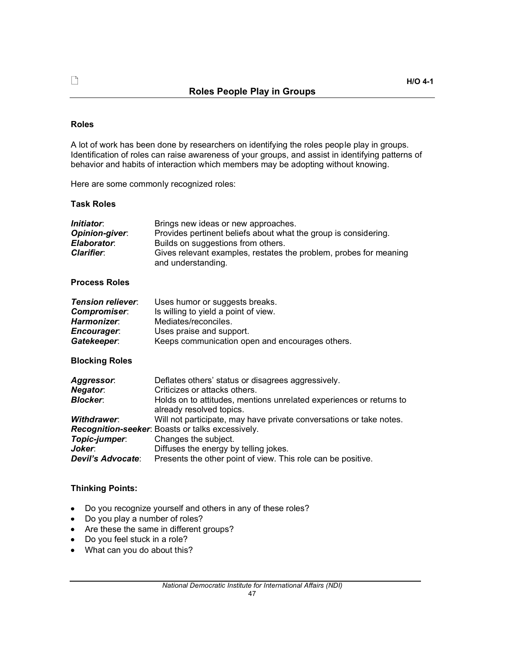## Roles

A lot of work has been done by researchers on identifying the roles people play in groups. Identification of roles can raise awareness of your groups, and assist in identifying patterns of behavior and habits of interaction which members may be adopting without knowing.

Here are some commonly recognized roles:

# Task Roles

| <i>Initiator:</i><br>Opinion-giver.<br>Elaborator:<br><b>Clarifier:</b>                                                              | Brings new ideas or new approaches.<br>Provides pertinent beliefs about what the group is considering.<br>Builds on suggestions from others.<br>Gives relevant examples, restates the problem, probes for meaning<br>and understanding.                                                                                                                                                                                                            |
|--------------------------------------------------------------------------------------------------------------------------------------|----------------------------------------------------------------------------------------------------------------------------------------------------------------------------------------------------------------------------------------------------------------------------------------------------------------------------------------------------------------------------------------------------------------------------------------------------|
| <b>Process Roles</b>                                                                                                                 |                                                                                                                                                                                                                                                                                                                                                                                                                                                    |
| <b>Tension reliever:</b><br>Compromiser:<br>Harmonizer:<br><b>Encourager:</b><br>Gatekeeper:<br><b>Blocking Roles</b>                | Uses humor or suggests breaks.<br>Is willing to yield a point of view.<br>Mediates/reconciles.<br>Uses praise and support.<br>Keeps communication open and encourages others.                                                                                                                                                                                                                                                                      |
| <b>Aggressor:</b><br><b>Negator:</b><br><b>Blocker:</b><br><b>Withdrawer:</b><br>Topic-jumper:<br>Joker:<br><b>Devil's Advocate:</b> | Deflates others' status or disagrees aggressively.<br>Criticizes or attacks others.<br>Holds on to attitudes, mentions unrelated experiences or returns to<br>already resolved topics.<br>Will not participate, may have private conversations or take notes.<br>Recognition-seeker: Boasts or talks excessively.<br>Changes the subject.<br>Diffuses the energy by telling jokes.<br>Presents the other point of view. This role can be positive. |

# Thinking Points:

- Do you recognize yourself and others in any of these roles?  $\bullet$  .
- Do you play a number of roles?  $\bullet$
- Are these the same in different groups?
- Do you feel stuck in a role?
- What can you do about this?  $\bullet$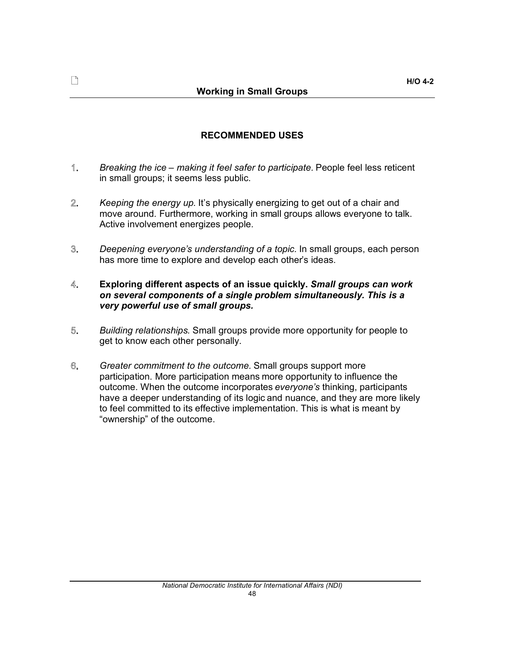# RECOMMENDED USES

- 1. *Breaking the ice making it feel safer to participate.* People feel less reticent in small groups; it seems less public.
- 2. *Keeping the energy up.* It's physically energizing to get out of a chair and move around. Furthermore, working in small groups allows everyone to talk. Active involvement energizes people.
- 3. *Deepening everyones understanding of a topic.* In small groups, each person has more time to explore and develop each other's ideas.

#### 4. Exploring different aspects of an issue quickly. *Small groups can work on several components of a single problem simultaneously. This is a very powerful use of small groups.*

- 5. *Building relationships*. Small groups provide more opportunity for people to get to know each other personally.
- 6. *Greater commitment to the outcome.* Small groups support more participation. More participation means more opportunity to influence the outcome. When the outcome incorporates *everyones* thinking, participants have a deeper understanding of its logic and nuance, and they are more likely to feel committed to its effective implementation. This is what is meant by "ownership" of the outcome.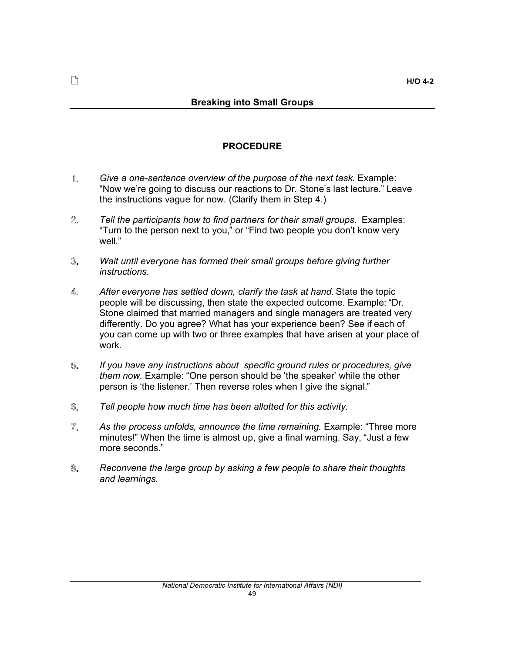# PROCEDURE

- 1. *Give a one-sentence overview of the purpose of the next task.* Example: "Now we're going to discuss our reactions to Dr. Stone's last lecture." Leave the instructions vague for now. (Clarify them in Step 4.)
- $2.$ *Tell the participants how to find partners for their small groups.* Examples: "Turn to the person next to you," or "Find two people you don't know very well."
- 3. *Wait until everyone has formed their small groups before giving further instructions.*
- 4. *After everyone has settled down, clarify the task at hand.* State the topic people will be discussing, then state the expected outcome. Example: "Dr. Stone claimed that married managers and single managers are treated very differently. Do you agree? What has your experience been? See if each of you can come up with two or three examples that have arisen at your place of work.
- 5. *If you have any instructions about specific ground rules or procedures, give them now.* Example: "One person should be 'the speaker' while the other person is 'the listener.' Then reverse roles when I give the signal."
- 6. *Tell people how much time has been allotted for this activity.*
- $\overline{\mathbb{Z}}$ . *As the process unfolds, announce the time remaining.* Example: Three more minutes!" When the time is almost up, give a final warning. Say, "Just a few more seconds.
- *Reconvene the large group by asking a few people to share their thoughts*  8. *and learnings.*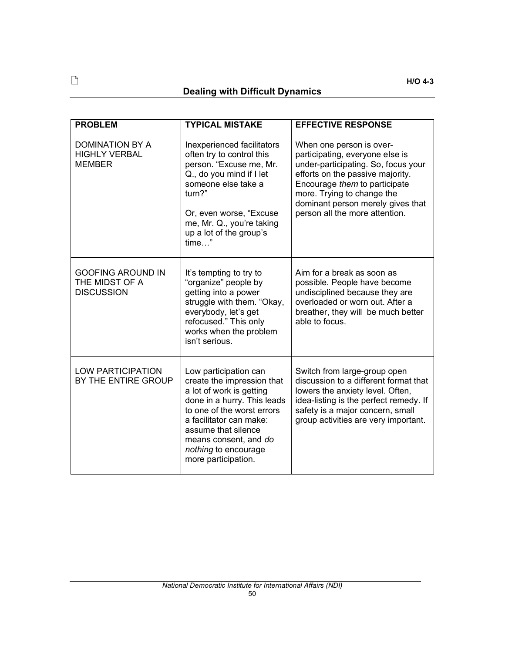# Dealing with Difficult Dynamics

| <b>PROBLEM</b>                                                  | <b>TYPICAL MISTAKE</b>                                                                                                                                                                                                                                                 | <b>EFFECTIVE RESPONSE</b>                                                                                                                                                                                                                                                    |
|-----------------------------------------------------------------|------------------------------------------------------------------------------------------------------------------------------------------------------------------------------------------------------------------------------------------------------------------------|------------------------------------------------------------------------------------------------------------------------------------------------------------------------------------------------------------------------------------------------------------------------------|
| <b>DOMINATION BY A</b><br><b>HIGHLY VERBAL</b><br><b>MEMBER</b> | Inexperienced facilitators<br>often try to control this<br>person. "Excuse me, Mr.<br>Q., do you mind if I let<br>someone else take a<br>turn?"<br>Or, even worse, "Excuse<br>me, Mr. Q., you're taking<br>up a lot of the group's<br>$time$ "                         | When one person is over-<br>participating, everyone else is<br>under-participating. So, focus your<br>efforts on the passive majority.<br>Encourage them to participate<br>more. Trying to change the<br>dominant person merely gives that<br>person all the more attention. |
| <b>GOOFING AROUND IN</b><br>THE MIDST OF A<br><b>DISCUSSION</b> | It's tempting to try to<br>"organize" people by<br>getting into a power<br>struggle with them. "Okay,<br>everybody, let's get<br>refocused." This only<br>works when the problem<br>isn't serious.                                                                     | Aim for a break as soon as<br>possible. People have become<br>undisciplined because they are<br>overloaded or worn out. After a<br>breather, they will be much better<br>able to focus.                                                                                      |
| <b>LOW PARTICIPATION</b><br>BY THE ENTIRE GROUP                 | Low participation can<br>create the impression that<br>a lot of work is getting<br>done in a hurry. This leads<br>to one of the worst errors<br>a facilitator can make:<br>assume that silence<br>means consent, and do<br>nothing to encourage<br>more participation. | Switch from large-group open<br>discussion to a different format that<br>lowers the anxiety level. Often,<br>idea-listing is the perfect remedy. If<br>safety is a major concern, small<br>group activities are very important.                                              |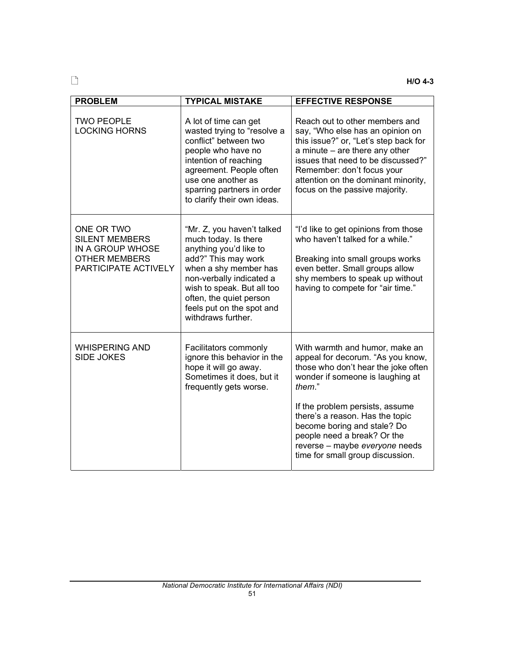| <b>PROBLEM</b>                                                                                          | <b>TYPICAL MISTAKE</b>                                                                                                                                                                                                                                               | <b>EFFECTIVE RESPONSE</b>                                                                                                                                                                                                                                                                    |
|---------------------------------------------------------------------------------------------------------|----------------------------------------------------------------------------------------------------------------------------------------------------------------------------------------------------------------------------------------------------------------------|----------------------------------------------------------------------------------------------------------------------------------------------------------------------------------------------------------------------------------------------------------------------------------------------|
| <b>TWO PEOPLE</b><br><b>LOCKING HORNS</b>                                                               | A lot of time can get<br>wasted trying to "resolve a<br>conflict" between two<br>people who have no<br>intention of reaching<br>agreement. People often<br>use one another as<br>sparring partners in order<br>to clarify their own ideas.                           | Reach out to other members and<br>say, "Who else has an opinion on<br>this issue?" or, "Let's step back for<br>a minute - are there any other<br>issues that need to be discussed?"<br>Remember: don't focus your<br>attention on the dominant minority,<br>focus on the passive majority.   |
| ONE OR TWO<br><b>SILENT MEMBERS</b><br>IN A GROUP WHOSE<br><b>OTHER MEMBERS</b><br>PARTICIPATE ACTIVELY | "Mr. Z, you haven't talked<br>much today. Is there<br>anything you'd like to<br>add?" This may work<br>when a shy member has<br>non-verbally indicated a<br>wish to speak. But all too<br>often, the quiet person<br>feels put on the spot and<br>withdraws further. | "I'd like to get opinions from those<br>who haven't talked for a while."<br>Breaking into small groups works<br>even better. Small groups allow<br>shy members to speak up without<br>having to compete for "air time."                                                                      |
| <b>WHISPERING AND</b><br><b>SIDE JOKES</b>                                                              | Facilitators commonly<br>ignore this behavior in the<br>hope it will go away.<br>Sometimes it does, but it<br>frequently gets worse.                                                                                                                                 | With warmth and humor, make an<br>appeal for decorum. "As you know,<br>those who don't hear the joke often<br>wonder if someone is laughing at<br>them."<br>If the problem persists, assume<br>there's a reason. Has the topic<br>become boring and stale? Do<br>people need a break? Or the |
|                                                                                                         |                                                                                                                                                                                                                                                                      | reverse - maybe everyone needs<br>time for small group discussion.                                                                                                                                                                                                                           |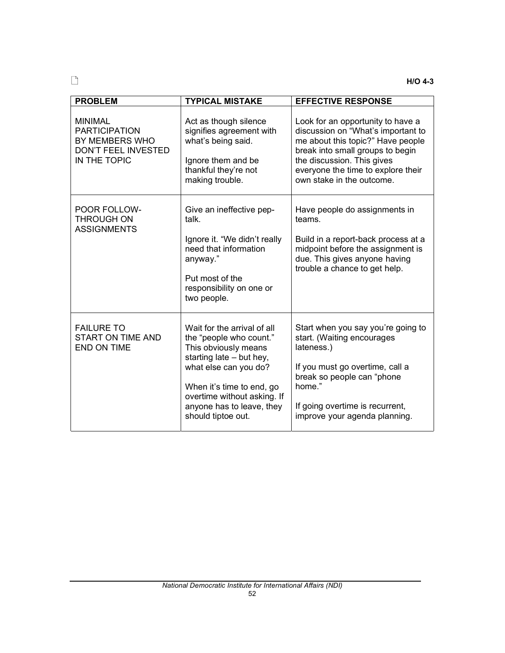| <b>PROBLEM</b>                                                                                         | <b>TYPICAL MISTAKE</b>                                                                                                                                                                                                                             | <b>EFFECTIVE RESPONSE</b>                                                                                                                                                                                                                         |
|--------------------------------------------------------------------------------------------------------|----------------------------------------------------------------------------------------------------------------------------------------------------------------------------------------------------------------------------------------------------|---------------------------------------------------------------------------------------------------------------------------------------------------------------------------------------------------------------------------------------------------|
| <b>MINIMAL</b><br><b>PARTICIPATION</b><br>BY MEMBERS WHO<br><b>DON'T FEEL INVESTED</b><br>IN THE TOPIC | Act as though silence<br>signifies agreement with<br>what's being said.<br>Ignore them and be<br>thankful they're not<br>making trouble.                                                                                                           | Look for an opportunity to have a<br>discussion on "What's important to<br>me about this topic?" Have people<br>break into small groups to begin<br>the discussion. This gives<br>everyone the time to explore their<br>own stake in the outcome. |
| POOR FOLLOW-<br><b>THROUGH ON</b><br><b>ASSIGNMENTS</b>                                                | Give an ineffective pep-<br>talk.<br>Ignore it. "We didn't really<br>need that information<br>anyway."<br>Put most of the<br>responsibility on one or<br>two people.                                                                               | Have people do assignments in<br>teams.<br>Build in a report-back process at a<br>midpoint before the assignment is<br>due. This gives anyone having<br>trouble a chance to get help.                                                             |
| <b>FAILURE TO</b><br><b>START ON TIME AND</b><br><b>END ON TIME</b>                                    | Wait for the arrival of all<br>the "people who count."<br>This obviously means<br>starting late - but hey,<br>what else can you do?<br>When it's time to end, go<br>overtime without asking. If<br>anyone has to leave, they<br>should tiptoe out. | Start when you say you're going to<br>start. (Waiting encourages<br>lateness.)<br>If you must go overtime, call a<br>break so people can "phone<br>home."<br>If going overtime is recurrent,<br>improve your agenda planning.                     |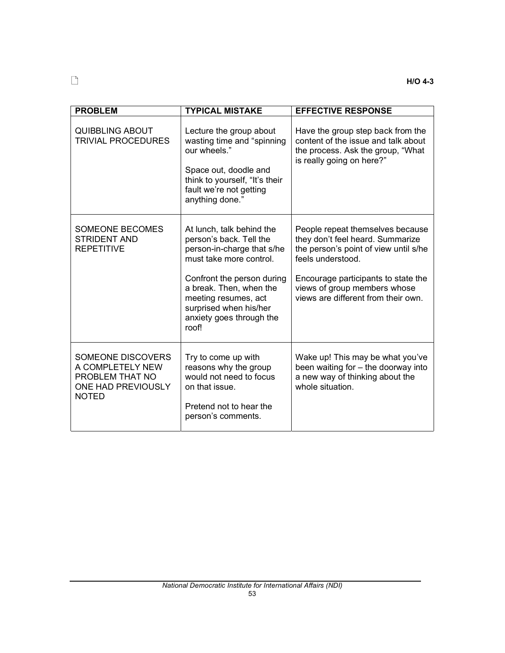| <b>PROBLEM</b>                                                                                 | <b>TYPICAL MISTAKE</b>                                                                                                                                                                                                                                        | <b>EFFECTIVE RESPONSE</b>                                                                                                                                                                                                                        |
|------------------------------------------------------------------------------------------------|---------------------------------------------------------------------------------------------------------------------------------------------------------------------------------------------------------------------------------------------------------------|--------------------------------------------------------------------------------------------------------------------------------------------------------------------------------------------------------------------------------------------------|
| <b>QUIBBLING ABOUT</b><br><b>TRIVIAL PROCEDURES</b>                                            | Lecture the group about<br>wasting time and "spinning<br>our wheels."<br>Space out, doodle and<br>think to yourself, "It's their<br>fault we're not getting<br>anything done."                                                                                | Have the group step back from the<br>content of the issue and talk about<br>the process. Ask the group, "What<br>is really going on here?"                                                                                                       |
| <b>SOMEONE BECOMES</b><br><b>STRIDENT AND</b><br><b>REPETITIVE</b>                             | At lunch, talk behind the<br>person's back. Tell the<br>person-in-charge that s/he<br>must take more control.<br>Confront the person during<br>a break. Then, when the<br>meeting resumes, act<br>surprised when his/her<br>anxiety goes through the<br>roof! | People repeat themselves because<br>they don't feel heard. Summarize<br>the person's point of view until s/he<br>feels understood.<br>Encourage participants to state the<br>views of group members whose<br>views are different from their own. |
| SOMEONE DISCOVERS<br>A COMPLETELY NEW<br>PROBLEM THAT NO<br>ONE HAD PREVIOUSLY<br><b>NOTED</b> | Try to come up with<br>reasons why the group<br>would not need to focus<br>on that issue.<br>Pretend not to hear the<br>person's comments.                                                                                                                    | Wake up! This may be what you've<br>been waiting for - the doorway into<br>a new way of thinking about the<br>whole situation.                                                                                                                   |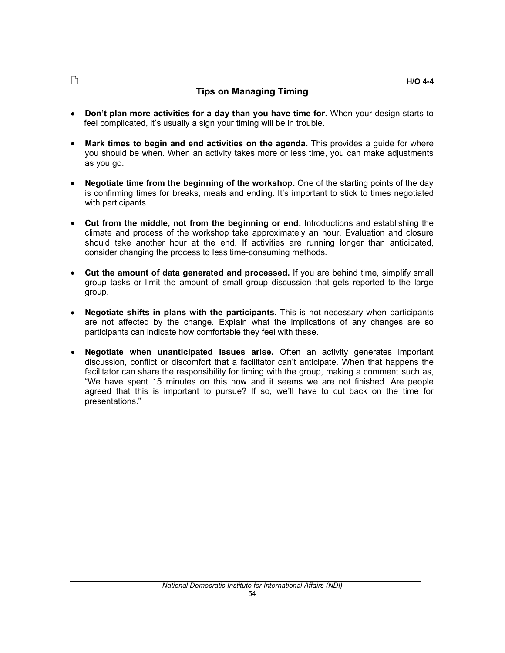### Tips on Managing Timing

- Don't plan more activities for a day than you have time for. When your design starts to feel complicated, it's usually a sign your timing will be in trouble.
- Mark times to begin and end activities on the agenda. This provides a quide for where  $\bullet$ you should be when. When an activity takes more or less time, you can make adjustments as you go.
- Negotiate time from the beginning of the workshop. One of the starting points of the day  $\bullet$ is confirming times for breaks, meals and ending. It's important to stick to times negotiated with participants.
- Cut from the middle, not from the beginning or end. Introductions and establishing the  $\bullet$ climate and process of the workshop take approximately an hour. Evaluation and closure should take another hour at the end. If activities are running longer than anticipated, consider changing the process to less time-consuming methods.
- Cut the amount of data generated and processed. If you are behind time, simplify small  $\bullet$ group tasks or limit the amount of small group discussion that gets reported to the large group.
- Negotiate shifts in plans with the participants. This is not necessary when participants  $\bullet$ are not affected by the change. Explain what the implications of any changes are so participants can indicate how comfortable they feel with these.
- Negotiate when unanticipated issues arise. Often an activity generates important  $\bullet$ discussion, conflict or discomfort that a facilitator can't anticipate. When that happens the facilitator can share the responsibility for timing with the group, making a comment such as, We have spent 15 minutes on this now and it seems we are not finished. Are people agreed that this is important to pursue? If so, we'll have to cut back on the time for presentations.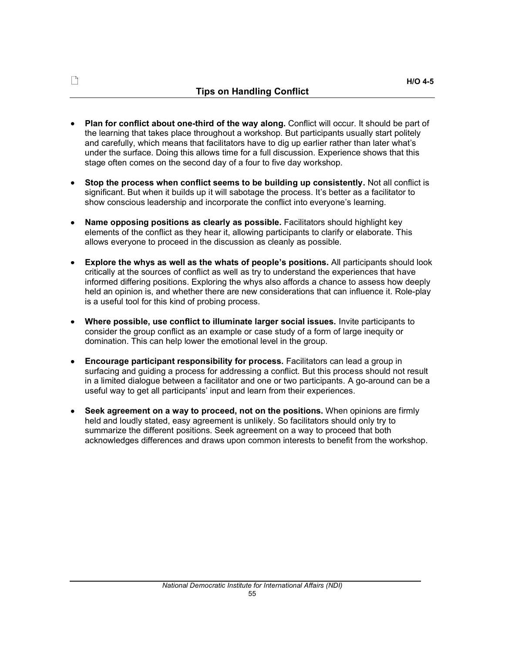- Plan for conflict about one-third of the way along. Conflict will occur. It should be part of  $\bullet$ the learning that takes place throughout a workshop. But participants usually start politely and carefully, which means that facilitators have to dig up earlier rather than later what's under the surface. Doing this allows time for a full discussion. Experience shows that this stage often comes on the second day of a four to five day workshop.
- Stop the process when conflict seems to be building up consistently. Not all conflict is  $\bullet$ significant. But when it builds up it will sabotage the process. It's better as a facilitator to show conscious leadership and incorporate the conflict into everyone's learning.
- Name opposing positions as clearly as possible. Facilitators should highlight key  $\bullet$ elements of the conflict as they hear it, allowing participants to clarify or elaborate. This allows everyone to proceed in the discussion as cleanly as possible.
- Explore the whys as well as the whats of people's positions. All participants should look  $\bullet$ critically at the sources of conflict as well as try to understand the experiences that have informed differing positions. Exploring the whys also affords a chance to assess how deeply held an opinion is, and whether there are new considerations that can influence it. Role-play is a useful tool for this kind of probing process.
- Where possible, use conflict to illuminate larger social issues. Invite participants to  $\bullet$ consider the group conflict as an example or case study of a form of large inequity or domination. This can help lower the emotional level in the group.
- Encourage participant responsibility for process. Facilitators can lead a group in  $\bullet$ surfacing and guiding a process for addressing a conflict. But this process should not result in a limited dialogue between a facilitator and one or two participants. A go-around can be a useful way to get all participants' input and learn from their experiences.
- Seek agreement on a way to proceed, not on the positions. When opinions are firmly  $\bullet$ held and loudly stated, easy agreement is unlikely. So facilitators should only try to summarize the different positions. Seek agreement on a way to proceed that both acknowledges differences and draws upon common interests to benefit from the workshop.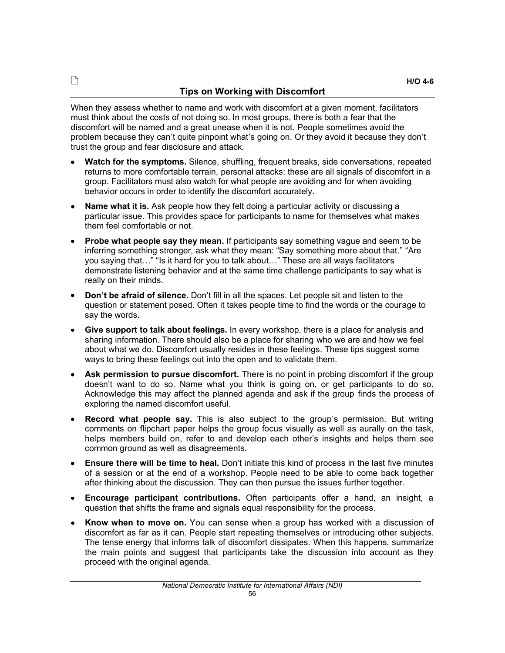When they assess whether to name and work with discomfort at a given moment, facilitators must think about the costs of not doing so. In most groups, there is both a fear that the discomfort will be named and a great unease when it is not. People sometimes avoid the problem because they can't quite pinpoint what's going on. Or they avoid it because they don't trust the group and fear disclosure and attack.

- Watch for the symptoms. Silence, shuffling, frequent breaks, side conversations, repeated  $\bullet$ returns to more comfortable terrain, personal attacks: these are all signals of discomfort in a group. Facilitators must also watch for what people are avoiding and for when avoiding behavior occurs in order to identify the discomfort accurately.
- Name what it is. Ask people how they felt doing a particular activity or discussing a particular issue. This provides space for participants to name for themselves what makes them feel comfortable or not.
- Probe what people say they mean. If participants say something vague and seem to be inferring something stronger, ask what they mean: "Say something more about that." "Are you saying that ..." "Is it hard for you to talk about ..." These are all ways facilitators demonstrate listening behavior and at the same time challenge participants to say what is really on their minds.
- Don't be afraid of silence. Don't fill in all the spaces. Let people sit and listen to the  $\bullet$ question or statement posed. Often it takes people time to find the words or the courage to say the words.
- Give support to talk about feelings. In every workshop, there is a place for analysis and  $\bullet$ sharing information. There should also be a place for sharing who we are and how we feel about what we do. Discomfort usually resides in these feelings. These tips suggest some ways to bring these feelings out into the open and to validate them.
- Ask permission to pursue discomfort. There is no point in probing discomfort if the group doesn't want to do so. Name what you think is going on, or get participants to do so. Acknowledge this may affect the planned agenda and ask if the group finds the process of exploring the named discomfort useful.
- **Record what people say.** This is also subject to the group's permission. But writing  $\bullet$ comments on flipchart paper helps the group focus visually as well as aurally on the task, helps members build on, refer to and develop each other's insights and helps them see common ground as well as disagreements.
- Ensure there will be time to heal. Don't initiate this kind of process in the last five minutes of a session or at the end of a workshop. People need to be able to come back together after thinking about the discussion. They can then pursue the issues further together.
- Encourage participant contributions. Often participants offer a hand, an insight, a question that shifts the frame and signals equal responsibility for the process.
- Know when to move on. You can sense when a group has worked with a discussion of  $\bullet$ discomfort as far as it can. People start repeating themselves or introducing other subjects. The tense energy that informs talk of discomfort dissipates. When this happens, summarize the main points and suggest that participants take the discussion into account as they proceed with the original agenda.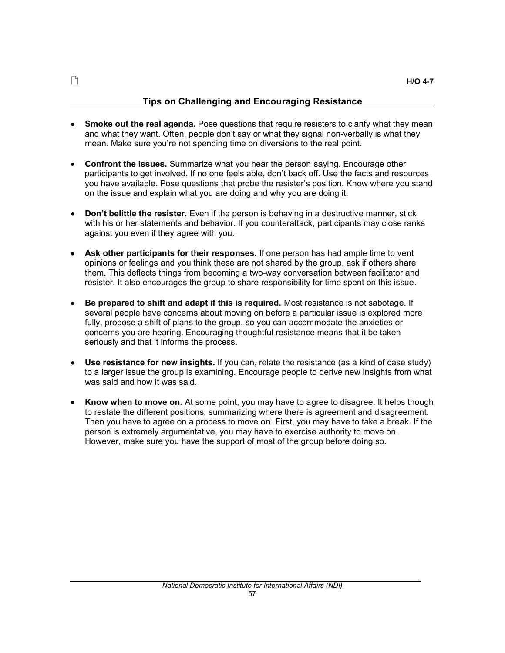# Tips on Challenging and Encouraging Resistance

- **Smoke out the real agenda.** Pose questions that require resisters to clarify what they mean and what they want. Often, people don't say or what they signal non-verbally is what they mean. Make sure you're not spending time on diversions to the real point.
- Confront the issues. Summarize what you hear the person saying. Encourage other  $\bullet$ participants to get involved. If no one feels able, don't back off. Use the facts and resources you have available. Pose questions that probe the resister's position. Know where you stand on the issue and explain what you are doing and why you are doing it.
- Don't belittle the resister. Even if the person is behaving in a destructive manner, stick  $\bullet$ with his or her statements and behavior. If you counterattack, participants may close ranks against you even if they agree with you.
- Ask other participants for their responses. If one person has had ample time to vent  $\bullet$ opinions or feelings and you think these are not shared by the group, ask if others share them. This deflects things from becoming a two-way conversation between facilitator and resister. It also encourages the group to share responsibility for time spent on this issue.
- Be prepared to shift and adapt if this is required. Most resistance is not sabotage. If several people have concerns about moving on before a particular issue is explored more fully, propose a shift of plans to the group, so you can accommodate the anxieties or concerns you are hearing. Encouraging thoughtful resistance means that it be taken seriously and that it informs the process.
- Use resistance for new insights. If you can, relate the resistance (as a kind of case study)  $\bullet$ to a larger issue the group is examining. Encourage people to derive new insights from what was said and how it was said.
- $\bullet$ Know when to move on. At some point, you may have to agree to disagree. It helps though to restate the different positions, summarizing where there is agreement and disagreement. Then you have to agree on a process to move on. First, you may have to take a break. If the person is extremely argumentative, you may have to exercise authority to move on. However, make sure you have the support of most of the group before doing so.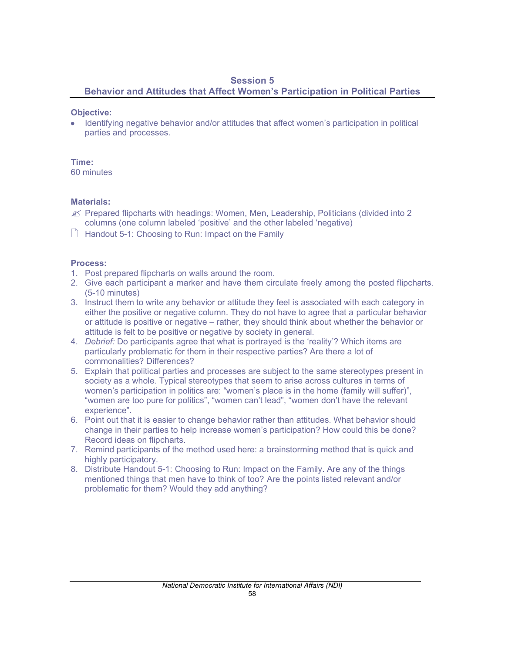# Session 5

Behavior and Attitudes that Affect Women's Participation in Political Parties

# Objective:

Identifying negative behavior and/or attitudes that affect women's participation in political parties and processes.

## Time:

60 minutes

# Materials:

- $\mathcal{L}$  Prepared flipcharts with headings: Women, Men, Leadership, Politicians (divided into 2) columns (one column labeled 'positive' and the other labeled 'negative)
- $\Box$  Handout 5-1: Choosing to Run: Impact on the Family

# Process:

- 1. Post prepared flipcharts on walls around the room.
- 2. Give each participant a marker and have them circulate freely among the posted flipcharts. (5-10 minutes)
- 3. Instruct them to write any behavior or attitude they feel is associated with each category in either the positive or negative column. They do not have to agree that a particular behavior or attitude is positive or negative – rather, they should think about whether the behavior or attitude is felt to be positive or negative by society in general.
- 4. *Debrief:* Do participants agree that what is portrayed is the 'reality'? Which items are particularly problematic for them in their respective parties? Are there a lot of commonalities? Differences?
- 5. Explain that political parties and processes are subject to the same stereotypes present in society as a whole. Typical stereotypes that seem to arise across cultures in terms of women's participation in politics are: "women's place is in the home (family will suffer)", "women are too pure for politics", "women can't lead", "women don't have the relevant experience".
- 6. Point out that it is easier to change behavior rather than attitudes. What behavior should change in their parties to help increase women's participation? How could this be done? Record ideas on flipcharts.
- 7. Remind participants of the method used here: a brainstorming method that is quick and highly participatory.
- 8. Distribute Handout 5-1: Choosing to Run: Impact on the Family. Are any of the things mentioned things that men have to think of too? Are the points listed relevant and/or problematic for them? Would they add anything?